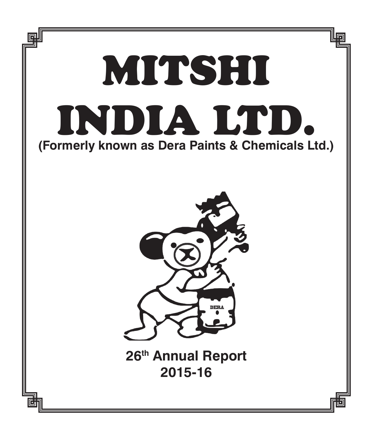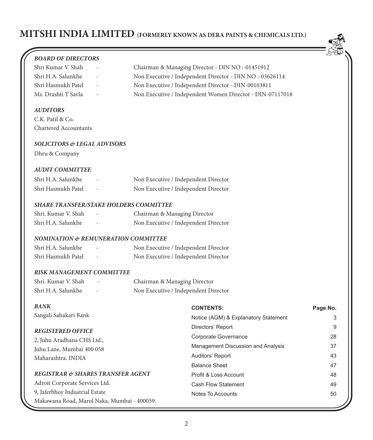

| <b>BOARD OF DIRECTORS</b>                      |                                                           | RA.      |
|------------------------------------------------|-----------------------------------------------------------|----------|
| Shri Kumar V. Shah                             | Chairman & Managing Director - DIN NO :-01451912          |          |
| Shri H.A. Salunkhe                             | Non Executive / Independent Director - DIN NO :- 03626114 |          |
| Shri Hasmukh Patel                             | Non Executive / Independent Director - DIN-00103811       |          |
| Ms. Drashti T Savla<br>$\overline{a}$          | Non Executive / Independent Women Director - DIN-07117018 |          |
| <b>AUDITORS</b>                                |                                                           |          |
| C.K. Patil & Co.                               |                                                           |          |
| <b>Chartered Accountants</b>                   |                                                           |          |
| <b>SOLICITORS &amp; LEGAL ADVISORS</b>         |                                                           |          |
| Dhru & Company                                 |                                                           |          |
| <b>AUDIT COMMITTEE</b>                         |                                                           |          |
| Shri H.A. Salunkhe                             | Non Executive / Independent Director                      |          |
| Shri Hasmukh Patel                             | Non Executive / Independent Director                      |          |
| <b>SHARE TRANSFER/STAKE HOLDERS COMMITTEE</b>  |                                                           |          |
| Shri. Kumar V. Shah<br>$\overline{a}$          | Chairman & Managing Director                              |          |
| Shri H.A. Salunkhe                             | Non Executive / Independent Director                      |          |
| <b>NOMINATION &amp; REMUNERATION COMMITTEE</b> |                                                           |          |
| Shri H.A. Salunkhe                             | Non Executive / Independent Director                      |          |
| Shri Hasmukh Patel                             | Non Executive / Independent Director                      |          |
| <b>RISK MANAGEMENT COMMITTEE</b>               |                                                           |          |
| Shri. Kumar V. Shah                            | Chairman & Managing Director                              |          |
| Shri H.A. Salunkhe                             | Non Executive / Independent Director                      |          |
| <b>BANK</b>                                    | <b>CONTENTS:</b>                                          | Page No. |
| Sangali Sahakari Bank                          | Notice (AGM) & Explanatory Statement                      | 3        |
| <b>REGISTERED OFFICE</b>                       | Directors' Report                                         | 9        |
| 2, Juhu Aradhana CHS Ltd.,                     | Corporate Governance                                      | 28       |
| Juhu Lane, Mumbai 400 058                      | Management Discussion and Analysis                        | 37       |
| Maharashtra. INDIA                             | Auditors' Report                                          | 43       |
|                                                | <b>Balance Sheet</b>                                      | 47       |
| REGISTRAR & SHARES TRANSFER AGENT              | Profit & Loss Account                                     | 48       |
| Adroit Corporate Services Ltd.                 | <b>Cash Flow Statement</b>                                | 49       |
| 9, Jaferbhoy Industrial Estate                 | Notes To Accounts                                         | 50       |
| Makawana Road, Marol Naka, Mumbai - 400059.    |                                                           |          |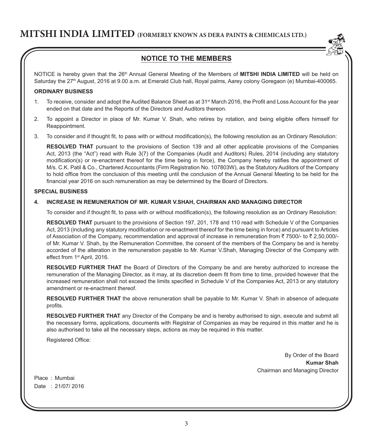

## **NOTICE TO THE MEMBERS**

NOTICE is hereby given that the 26<sup>th</sup> Annual General Meeting of the Members of **MITSHI INDIA LIMITED** will be held on Saturday the 27<sup>th</sup> August, 2016 at 9.00 a.m. at Emerald Club hall, Royal palms, Aarey colony Goregaon (e) Mumbai-400065.

#### **ORDINARY BUSINESS**

- 1. To receive, consider and adopt the Audited Balance Sheet as at 31<sup>st</sup> March 2016, the Profit and Loss Account for the year ended on that date and the Reports of the Directors and Auditors thereon.
- 2. To appoint a Director in place of Mr. Kumar V. Shah, who retires by rotation, and being eligible offers himself for Reappointment.
- 3. To consider and if thought fit, to pass with or without modification(s), the following resolution as an Ordinary Resolution:

**RESOLVED THAT** pursuant to the provisions of Section 139 and all other applicable provisions of the Companies Act, 2013 (the "Act") read with Rule 3(7) of the Companies (Audit and Auditors) Rules, 2014 (including any statutory modification(s) or re-enactment thereof for the time being in force), the Company hereby ratifies the appointment of M/s. C.K. Patil & Co., Chartered Accountants (Firm Registration No. 107803W), as the Statutory Auditors of the Company to hold office from the conclusion of this meeting until the conclusion of the Annual General Meeting to be held for the financial year 2016 on such remuneration as may be determined by the Board of Directors.

#### **SPECIAL BUSINESS**

#### **4. INCREASE IN REMUNERATION OF MR. KUMAR V.SHAH, CHAIRMAN AND MANAGING DIRECTOR**

To consider and if thought fit, to pass with or without modification(s), the following resolution as an Ordinary Resolution:

**RESOLVED THAT** pursuant to the provisions of Section 197, 201, 178 and 110 read with Schedule V of the Companies Act, 2013 (including any statutory modification or re-enactment thereof for the time being in force) and pursuant to Articles of Association of the Company, recommendation and approval of increase in remuneration from  $\bar{z}$  7500/- to  $\bar{z}$  2,50,000/of Mr. Kumar V. Shah, by the Remuneration Committee, the consent of the members of the Company be and is hereby accorded of the alteration in the remuneration payable to Mr. Kumar V.Shah, Managing Director of the Company with effect from 1<sup>st</sup> April, 2016.

**RESOLVED FURTHER THAT** the Board of Directors of the Company be and are hereby authorized to increase the remuneration of the Managing Director, as it may, at its discretion deem fit from time to time, provided however that the increased remuneration shall not exceed the limits specified in Schedule V of the Companies Act, 2013 or any statutory amendment or re-enactment thereof.

**RESOLVED FURTHER THAT** the above remuneration shall be payable to Mr. Kumar V. Shah in absence of adequate profits.

**RESOLVED FURTHER THAT** any Director of the Company be and is hereby authorised to sign, execute and submit all the necessary forms, applications, documents with Registrar of Companies as may be required in this matter and he is also authorised to take all the necessary steps, actions as may be required in this matter.

Registered Office:

By Order of the Board **Kumar Shah** Chairman and Managing Director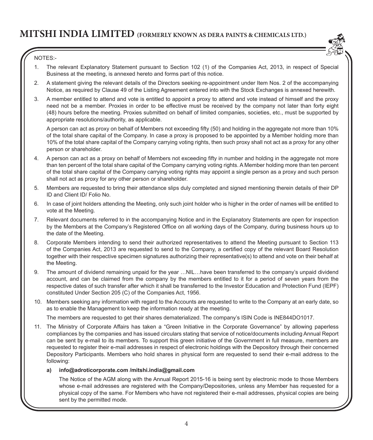

### NOTES:-

- 1. The relevant Explanatory Statement pursuant to Section 102 (1) of the Companies Act, 2013, in respect of Special Business at the meeting, is annexed hereto and forms part of this notice.
- 2. A statement giving the relevant details of the Directors seeking re-appointment under Item Nos. 2 of the accompanying Notice, as required by Clause 49 of the Listing Agreement entered into with the Stock Exchanges is annexed herewith.
- 3. A member entitled to attend and vote is entitled to appoint a proxy to attend and vote instead of himself and the proxy need not be a member. Proxies in order to be effective must be received by the company not later than forty eight (48) hours before the meeting. Proxies submitted on behalf of limited companies, societies, etc., must be supported by appropriate resolutions/authority, as applicable.

A person can act as proxy on behalf of Members not exceeding fifty (50) and holding in the aggregate not more than 10% of the total share capital of the Company. In case a proxy is proposed to be appointed by a Member holding more than 10% of the total share capital of the Company carrying voting rights, then such proxy shall not act as a proxy for any other person or shareholder.

- 4. A person can act as a proxy on behalf of Members not exceeding fifty in number and holding in the aggregate not more than ten percent of the total share capital of the Company carrying voting rights. A Member holding more than ten percent of the total share capital of the Company carrying voting rights may appoint a single person as a proxy and such person shall not act as proxy for any other person or shareholder.
- 5. Members are requested to bring their attendance slips duly completed and signed mentioning therein details of their DP ID and Client ID/ Folio No.
- 6. In case of joint holders attending the Meeting, only such joint holder who is higher in the order of names will be entitled to vote at the Meeting.
- 7. Relevant documents referred to in the accompanying Notice and in the Explanatory Statements are open for inspection by the Members at the Company's Registered Office on all working days of the Company, during business hours up to the date of the Meeting.
- 8. Corporate Members intending to send their authorized representatives to attend the Meeting pursuant to Section 113 of the Companies Act, 2013 are requested to send to the Company, a certified copy of the relevant Board Resolution together with their respective specimen signatures authorizing their representative(s) to attend and vote on their behalf at the Meeting.
- 9. The amount of dividend remaining unpaid for the year …NIL…have been transferred to the company's unpaid dividend account, and can be claimed from the company by the members entitled to it for a period of seven years from the respective dates of such transfer after which it shall be transferred to the Investor Education and Protection Fund (IEPF) constituted Under Section 205 (C) of the Companies Act, 1956.
- 10. Members seeking any information with regard to the Accounts are requested to write to the Company at an early date, so as to enable the Management to keep the information ready at the meeting.

The members are requested to get their shares dematerialized. The company's ISIN Code is INE844DO1017.

11. The Ministry of Corporate Affairs has taken a "Green Initiative in the Corporate Governance" by allowing paperless compliances by the companies and has issued circulars stating that service of notice/documents including Annual Report can be sent by e-mail to its members. To support this green initiative of the Government in full measure, members are requested to register their e-mail addresses in respect of electronic holdings with the Depository through their concerned Depository Participants. Members who hold shares in physical form are requested to send their e-mail address to the following:

#### **a) info@adroticorporate.com /mitshi.india@gmail.com**

 The Notice of the AGM along with the Annual Report 2015-16 is being sent by electronic mode to those Members whose e-mail addresses are registered with the Company/Depositories, unless any Member has requested for a physical copy of the same. For Members who have not registered their e-mail addresses, physical copies are being sent by the permitted mode.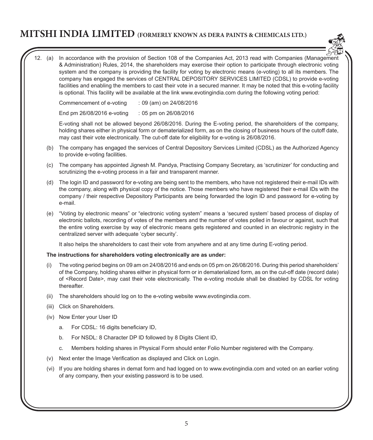

12. (a) In accordance with the provision of Section 108 of the Companies Act, 2013 read with Companies (Management & Administration) Rules, 2014, the shareholders may exercise their option to participate through electronic voting system and the company is providing the facility for voting by electronic means (e-voting) to all its members. The company has engaged the services of CENTRAL DEPOSITORY SERVICES LIMITED (CDSL) to provide e-voting facilities and enabling the members to cast their vote in a secured manner. It may be noted that this e-voting facility is optional. This facility will be available at the link www.evotingindia.com during the following voting period:

Commencement of e-voting : 09 (am) on 24/08/2016

End pm 26/08/2016 e-voting : 05 pm on 26/08/2016

 E-voting shall not be allowed beyond 26/08/2016. During the E-voting period, the shareholders of the company, holding shares either in physical form or dematerialized form, as on the closing of business hours of the cutoff date, may cast their vote electronically. The cut-off date for eligibility for e-voting is 26/08/2016.

- (b) The company has engaged the services of Central Depository Services Limited (CDSL) as the Authorized Agency to provide e-voting facilities.
- (c) The company has appointed Jignesh M. Pandya, Practising Company Secretary, as 'scrutinizer' for conducting and scrutinizing the e-voting process in a fair and transparent manner.
- (d) The login ID and password for e-voting are being sent to the members, who have not registered their e-mail IDs with the company, along with physical copy of the notice. Those members who have registered their e-mail IDs with the company / their respective Depository Participants are being forwarded the login ID and password for e-voting by e-mail.
- (e) "Voting by electronic means" or "electronic voting system" means a 'secured system' based process of display of electronic ballots, recording of votes of the members and the number of votes polled in favour or against, such that the entire voting exercise by way of electronic means gets registered and counted in an electronic registry in the centralized server with adequate 'cyber security'.

It also helps the shareholders to cast their vote from anywhere and at any time during E-voting period.

### **The instructions for shareholders voting electronically are as under:**

- (i) The voting period begins on 09 am on 24/08/2016 and ends on 05 pm on 26/08/2016. During this period shareholders' of the Company, holding shares either in physical form or in dematerialized form, as on the cut-off date (record date) of <Record Date>, may cast their vote electronically. The e-voting module shall be disabled by CDSL for voting thereafter.
- (ii) The shareholders should log on to the e-voting website www.evotingindia.com.
- (iii) Click on Shareholders.
- (iv) Now Enter your User ID
	- a. For CDSL: 16 digits beneficiary ID,
	- b. For NSDL: 8 Character DP ID followed by 8 Digits Client ID,
	- c. Members holding shares in Physical Form should enter Folio Number registered with the Company.
- (v) Next enter the Image Verification as displayed and Click on Login.
- (vi) If you are holding shares in demat form and had logged on to www.evotingindia.com and voted on an earlier voting of any company, then your existing password is to be used.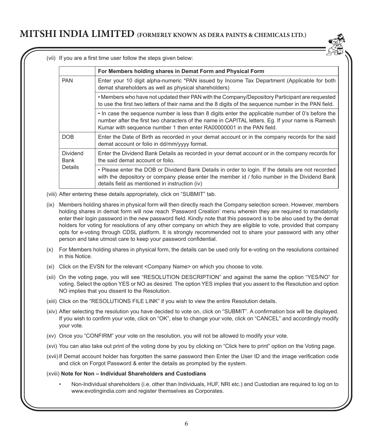

(vii) If you are a first time user follow the steps given below:

|                  | For Members holding shares in Demat Form and Physical Form                                                                                                                                                                                                                    |
|------------------|-------------------------------------------------------------------------------------------------------------------------------------------------------------------------------------------------------------------------------------------------------------------------------|
| <b>PAN</b>       | Enter your 10 digit alpha-numeric *PAN issued by Income Tax Department (Applicable for both<br>demat shareholders as well as physical shareholders)                                                                                                                           |
|                  | • Members who have not updated their PAN with the Company/Depository Participant are requested<br>to use the first two letters of their name and the 8 digits of the sequence number in the PAN field.                                                                        |
|                  | • In case the sequence number is less than 8 digits enter the applicable number of 0's before the<br>number after the first two characters of the name in CAPITAL letters. Eq. If your name is Ramesh<br>Kumar with sequence number 1 then enter RA00000001 in the PAN field. |
| DOB              | Enter the Date of Birth as recorded in your demat account or in the company records for the said<br>demat account or folio in dd/mm/yyyy format.                                                                                                                              |
| Dividend<br>Bank | Enter the Dividend Bank Details as recorded in your demat account or in the company records for<br>the said demat account or folio.                                                                                                                                           |
| Details          | . Please enter the DOB or Dividend Bank Details in order to login. If the details are not recorded<br>with the depository or company please enter the member id / folio number in the Dividend Bank<br>details field as mentioned in instruction (iv)                         |

- (viii) After entering these details appropriately, click on "SUBMIT" tab.
- (ix) Members holding shares in physical form will then directly reach the Company selection screen. However, members holding shares in demat form will now reach 'Password Creation' menu wherein they are required to mandatorily enter their login password in the new password field. Kindly note that this password is to be also used by the demat holders for voting for resolutions of any other company on which they are eligible to vote, provided that company opts for e-voting through CDSL platform. It is strongly recommended not to share your password with any other person and take utmost care to keep your password confidential.
- (x) For Members holding shares in physical form, the details can be used only for e-voting on the resolutions contained in this Notice.
- (xi) Click on the EVSN for the relevant <Company Name> on which you choose to vote.
- (xii) On the voting page, you will see "RESOLUTION DESCRIPTION" and against the same the option "YES/NO" for voting. Select the option YES or NO as desired. The option YES implies that you assent to the Resolution and option NO implies that you dissent to the Resolution.
- (xiii) Click on the "RESOLUTIONS FILE LINK" if you wish to view the entire Resolution details.
- (xiv) After selecting the resolution you have decided to vote on, click on "SUBMIT". A confirmation box will be displayed. If you wish to confirm your vote, click on "OK", else to change your vote, click on "CANCEL" and accordingly modify your vote.
- (xv) Once you "CONFIRM" your vote on the resolution, you will not be allowed to modify your vote.
- (xvi) You can also take out print of the voting done by you by clicking on "Click here to print" option on the Voting page.
- (xvii)If Demat account holder has forgotten the same password then Enter the User ID and the image verification code and click on Forgot Password & enter the details as prompted by the system.
- (xviii) **Note for Non Individual Shareholders and Custodians**
	- Non-Individual shareholders (i.e. other than Individuals, HUF, NRI etc.) and Custodian are required to log on to www.evotingindia.com and register themselves as Corporates.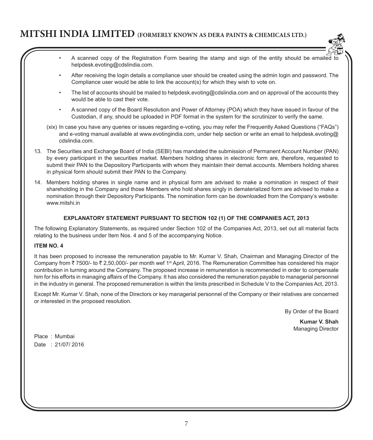

- A scanned copy of the Registration Form bearing the stamp and sign of the entity should be emailed to helpdesk.evoting@cdslindia.com.
- After receiving the login details a compliance user should be created using the admin login and password. The Compliance user would be able to link the account(s) for which they wish to vote on.
- The list of accounts should be mailed to helpdesk.evoting@cdslindia.com and on approval of the accounts they would be able to cast their vote.
- A scanned copy of the Board Resolution and Power of Attorney (POA) which they have issued in favour of the Custodian, if any, should be uploaded in PDF format in the system for the scrutinizer to verify the same.
- (xix) In case you have any queries or issues regarding e-voting, you may refer the Frequently Asked Questions ("FAQs") and e-voting manual available at www.evotingindia.com, under help section or write an email to helpdesk.evoting@ cdslindia.com.
- 13. The Securities and Exchange Board of India (SEBI) has mandated the submission of Permanent Account Number (PAN) by every participant in the securities market. Members holding shares in electronic form are, therefore, requested to submit their PAN to the Depository Participants with whom they maintain their demat accounts. Members holding shares in physical form should submit their PAN to the Company.
- 14. Members holding shares in single name and in physical form are advised to make a nomination in respect of their shareholding in the Company and those Members who hold shares singly in dematerialized form are advised to make a nomination through their Depository Participants. The nomination form can be downloaded from the Company's website: www.mitshi.in

### **EXPLANATORY STATEMENT PURSUANT TO SECTION 102 (1) OF THE COMPANIES ACT, 2013**

The following Explanatory Statements, as required under Section 102 of the Companies Act, 2013, set out all material facts relating to the business under Item Nos. 4 and 5 of the accompanying Notice.

### **ITEM NO. 4**

It has been proposed to increase the remuneration payable to Mr. Kumar V. Shah, Chairman and Managing Director of the Company from  $\bar{\tau}$  7500/- to  $\bar{\tau}$  2,50,000/- per month wef 1<sup>st</sup> April, 2016. The Remuneration Committee has considered his major contribution in turning around the Company. The proposed increase in remuneration is recommended in order to compensate him for his efforts in managing affairs of the Company. It has also considered the remuneration payable to managerial personnel in the industry in general. The proposed remuneration is within the limits prescribed in Schedule V to the Companies Act, 2013.

Except Mr. Kumar V. Shah, none of the Directors or key managerial personnel of the Company or their relatives are concerned or interested in the proposed resolution.

By Order of the Board

**Kumar V. Shah** Managing Director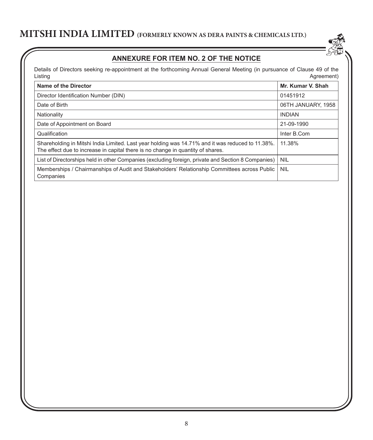

# **Annexure for item No. 2 of the Notice**

Details of Directors seeking re-appointment at the forthcoming Annual General Meeting (in pursuance of Clause 49 of the Listing Agreement)

| Name of the Director                                                                                                                                                                | Mr. Kumar V. Shah  |
|-------------------------------------------------------------------------------------------------------------------------------------------------------------------------------------|--------------------|
| Director Identification Number (DIN)                                                                                                                                                | 01451912           |
| Date of Birth                                                                                                                                                                       | 06TH JANUARY, 1958 |
| Nationality                                                                                                                                                                         | <b>INDIAN</b>      |
| Date of Appointment on Board                                                                                                                                                        | 21-09-1990         |
| Qualification                                                                                                                                                                       | Inter B.Com        |
| Shareholding in Mitshi India Limited. Last year holding was 14.71% and it was reduced to 11.38%.<br>The effect due to increase in capital there is no change in quantity of shares. | 11.38%             |
| List of Directorships held in other Companies (excluding foreign, private and Section 8 Companies)                                                                                  | <b>NIL</b>         |
| Memberships / Chairmanships of Audit and Stakeholders' Relationship Committees across Public<br>Companies                                                                           | <b>NIL</b>         |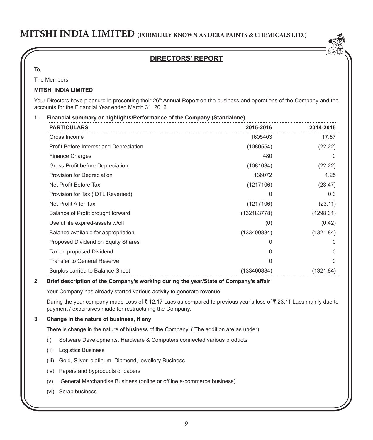## **DIRECTORS' REPORT**

To,

The Members

### **Mitshi India Limited**

Your Directors have pleasure in presenting their 26<sup>th</sup> Annual Report on the business and operations of the Company and the accounts for the Financial Year ended March 31, 2016.

and the state

|                                                                                                                                                                               | 2015-2016   | 2014-2015 |
|-------------------------------------------------------------------------------------------------------------------------------------------------------------------------------|-------------|-----------|
| Gross Income                                                                                                                                                                  | 1605403     | 17.67     |
| Profit Before Interest and Depreciation                                                                                                                                       | (1080554)   | (22.22)   |
| <b>Finance Charges</b>                                                                                                                                                        | 480         | 0         |
| Gross Profit before Depreciation                                                                                                                                              | (1081034)   | (22.22)   |
| Provision for Depreciation                                                                                                                                                    | 136072      | 1.25      |
| Net Profit Before Tax                                                                                                                                                         | (1217106)   | (23.47)   |
| Provision for Tax (DTL Reversed)                                                                                                                                              | 0           | 0.3       |
| Net Profit After Tax                                                                                                                                                          | (1217106)   | (23.11)   |
| Balance of Profit brought forward                                                                                                                                             | (132183778) | (1298.31) |
| Useful life expired-assets w/off                                                                                                                                              | (0)         | (0.42)    |
| Balance available for appropriation                                                                                                                                           | (133400884) | (1321.84) |
| Proposed Dividend on Equity Shares                                                                                                                                            | 0           | 0         |
| Tax on proposed Dividend                                                                                                                                                      | 0           | 0         |
| <b>Transfer to General Reserve</b>                                                                                                                                            | 0           | 0         |
| Surplus carried to Balance Sheet                                                                                                                                              | (133400884) | (1321.84) |
| Brief description of the Company's working during the year/State of Company's affair                                                                                          |             |           |
| Your Company has already started various activity to generate revenue.                                                                                                        |             |           |
| During the year company made Loss of ₹12.17 Lacs as compared to previous year's loss of ₹23.11 Lacs mainly due to<br>payment / expensives made for restructuring the Company. |             |           |
| Change in the nature of business, if any                                                                                                                                      |             |           |
| There is change in the nature of business of the Company. (The addition are as under)                                                                                         |             |           |
| Software Developments, Hardware & Computers connected various products<br>(i)                                                                                                 |             |           |
|                                                                                                                                                                               |             |           |

- (iii) Gold, Silver, platinum, Diamond, jewellery Business
- (iv) Papers and byproducts of papers
- (v) General Merchandise Business (online or offline e-commerce business)
- (vi) Scrap business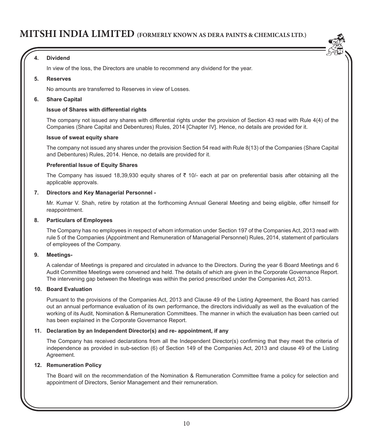### **4. Dividend**

In view of the loss, the Directors are unable to recommend any dividend for the year.

#### **5. Reserves**

No amounts are transferred to Reserves in view of Losses.

#### **6. Share Capital**

#### **Issue of Shares with differential rights**

The company not issued any shares with differential rights under the provision of Section 43 read with Rule 4(4) of the Companies (Share Capital and Debentures) Rules, 2014 [Chapter IV]. Hence, no details are provided for it.

#### **Issue of sweat equity share**

The company not issued any shares under the provision Section 54 read with Rule 8(13) of the Companies (Share Capital and Debentures) Rules, 2014. Hence, no details are provided for it.

#### **Preferential Issue of Equity Shares**

The Company has issued 18,39,930 equity shares of  $\bar{\tau}$  10/- each at par on preferential basis after obtaining all the applicable approvals.

### **7. Directors and Key Managerial Personnel -**

 Mr. Kumar V. Shah, retire by rotation at the forthcoming Annual General Meeting and being eligible, offer himself for reappointment.

#### **8. Particulars of Employees**

The Company has no employees in respect of whom information under Section 197 of the Companies Act, 2013 read with rule 5 of the Companies (Appointment and Remuneration of Managerial Personnel) Rules, 2014, statement of particulars of employees of the Company.

#### **9. Meetings-**

A calendar of Meetings is prepared and circulated in advance to the Directors. During the year 6 Board Meetings and 6 Audit Committee Meetings were convened and held. The details of which are given in the Corporate Governance Report. The intervening gap between the Meetings was within the period prescribed under the Companies Act, 2013.

#### **10. Board Evaluation**

Pursuant to the provisions of the Companies Act, 2013 and Clause 49 of the Listing Agreement, the Board has carried out an annual performance evaluation of its own performance, the directors individually as well as the evaluation of the working of its Audit, Nomination & Remuneration Committees. The manner in which the evaluation has been carried out has been explained in the Corporate Governance Report.

#### **11. Declaration by an Independent Director(s) and re- appointment, if any**

The Company has received declarations from all the Independent Director(s) confirming that they meet the criteria of independence as provided in sub-section (6) of Section 149 of the Companies Act, 2013 and clause 49 of the Listing Agreement.

#### **12. Remuneration Policy**

The Board will on the recommendation of the Nomination & Remuneration Committee frame a policy for selection and appointment of Directors, Senior Management and their remuneration.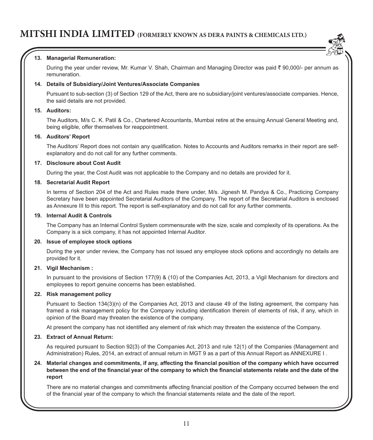

### **13. Managerial Remuneration:**

During the year under review, Mr. Kumar V. Shah, Chairman and Managing Director was paid ₹ 90,000/- per annum as remuneration.

### **14. Details of Subsidiary/Joint Ventures/Associate Companies**

Pursuant to sub-section (3) of Section 129 of the Act, there are no subsidiary/joint ventures/associate companies. Hence, the said details are not provided.

#### **15. Auditors:**

The Auditors, M/s C. K. Patil & Co., Chartered Accountants, Mumbai retire at the ensuing Annual General Meeting and, being eligible, offer themselves for reappointment.

#### **16. Auditors' Report**

The Auditors' Report does not contain any qualification. Notes to Accounts and Auditors remarks in their report are selfexplanatory and do not call for any further comments.

#### **17. Disclosure about Cost Audit**

During the year, the Cost Audit was not applicable to the Company and no details are provided for it.

#### **18. Secretarial Audit Report**

In terms of Section 204 of the Act and Rules made there under, M/s. Jignesh M. Pandya & Co., Practicing Company Secretary have been appointed Secretarial Auditors of the Company. The report of the Secretarial Auditors is enclosed as Annexure III to this report. The report is self-explanatory and do not call for any further comments.

### **19. Internal Audit & Controls**

The Company has an Internal Control System commensurate with the size, scale and complexity of its operations. As the Company is a sick company, it has not appointed Internal Auditor.

#### **20. Issue of employee stock options**

During the year under review, the Company has not issued any employee stock options and accordingly no details are provided for it.

#### **21. Vigil Mechanism :**

In pursuant to the provisions of Section 177(9) & (10) of the Companies Act, 2013, a Vigil Mechanism for directors and employees to report genuine concerns has been established.

#### **22. Risk management policy**

Pursuant to Section 134(3)(n) of the Companies Act, 2013 and clause 49 of the listing agreement, the company has framed a risk management policy for the Company including identification therein of elements of risk, if any, which in opinion of the Board may threaten the existence of the company.

At present the company has not identified any element of risk which may threaten the existence of the Company.

#### **23. Extract of Annual Return:**

As required pursuant to Section 92(3) of the Companies Act, 2013 and rule 12(1) of the Companies (Management and Administration) Rules, 2014, an extract of annual return in MGT 9 as a part of this Annual Report as ANNEXURE I .

#### **24. Material changes and commitments, if any, affecting the financial position of the company which have occurred between the end of the financial year of the company to which the financial statements relate and the date of the report**

There are no material changes and commitments affecting financial position of the Company occurred between the end of the financial year of the company to which the financial statements relate and the date of the report.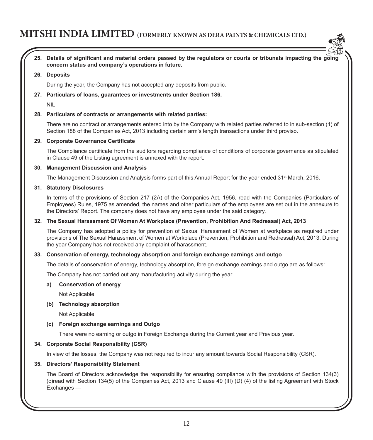

**25. Details of significant and material orders passed by the regulators or courts or tribunals impacting the going concern status and company's operations in future.**

#### **26. Deposits**

During the year, the Company has not accepted any deposits from public.

#### **27. Particulars of loans, guarantees or investments under Section 186.**

NIL

#### **28. Particulars of contracts or arrangements with related parties:**

There are no contract or arrangements entered into by the Company with related parties referred to in sub-section (1) of Section 188 of the Companies Act, 2013 including certain arm's length transactions under third proviso.

#### **29. Corporate Governance Certificate**

The Compliance certificate from the auditors regarding compliance of conditions of corporate governance as stipulated in Clause 49 of the Listing agreement is annexed with the report.

#### **30. Management Discussion and Analysis**

The Management Discussion and Analysis forms part of this Annual Report for the year ended 31<sup>st</sup> March, 2016.

#### **31. Statutory Disclosures**

In terms of the provisions of Section 217 (2A) of the Companies Act, 1956, read with the Companies (Particulars of Employees) Rules, 1975 as amended, the names and other particulars of the employees are set out in the annexure to the Directors' Report. The company does not have any employee under the said category.

#### **32. The Sexual Harassment Of Women At Workplace (Prevention, Prohibition And Redressal) Act, 2013**

The Company has adopted a policy for prevention of Sexual Harassment of Women at workplace as required under provisions of The Sexual Harassment of Women at Workplace (Prevention, Prohibition and Redressal) Act, 2013. During the year Company has not received any complaint of harassment.

#### **33. Conservation of energy, technology absorption and foreign exchange earnings and outgo**

The details of conservation of energy, technology absorption, foreign exchange earnings and outgo are as follows:

The Company has not carried out any manufacturing activity during the year.

#### **a) Conservation of energy**

Not Applicable

### **(b) Technology absorption**

Not Applicable

#### **(c) Foreign exchange earnings and Outgo**

There were no earning or outgo in Foreign Exchange during the Current year and Previous year.

#### **34. Corporate Social Responsibility (CSR)**

In view of the losses, the Company was not required to incur any amount towards Social Responsibility (CSR).

#### **35. Directors' Responsibility Statement**

The Board of Directors acknowledge the responsibility for ensuring compliance with the provisions of Section 134(3) (c)read with Section 134(5) of the Companies Act, 2013 and Clause 49 (III) (D) (4) of the listing Agreement with Stock Exchanges —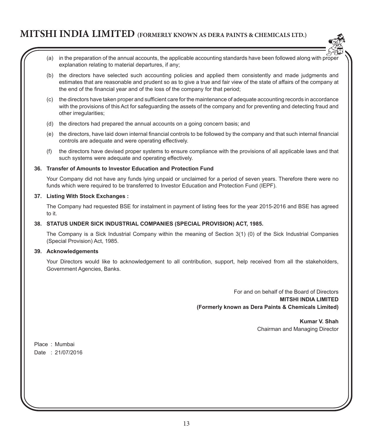- 
- (a) in the preparation of the annual accounts, the applicable accounting standards have been followed along with proper explanation relating to material departures, if any;
- (b) the directors have selected such accounting policies and applied them consistently and made judgments and estimates that are reasonable and prudent so as to give a true and fair view of the state of affairs of the company at the end of the financial year and of the loss of the company for that period;
- (c) the directors have taken proper and sufficient care for the maintenance of adequate accounting records in accordance with the provisions of this Act for safeguarding the assets of the company and for preventing and detecting fraud and other irregularities;
- (d) the directors had prepared the annual accounts on a going concern basis; and
- (e) the directors, have laid down internal financial controls to be followed by the company and that such internal financial controls are adequate and were operating effectively.
- (f) the directors have devised proper systems to ensure compliance with the provisions of all applicable laws and that such systems were adequate and operating effectively.

#### **36. Transfer of Amounts to Investor Education and Protection Fund**

Your Company did not have any funds lying unpaid or unclaimed for a period of seven years. Therefore there were no funds which were required to be transferred to Investor Education and Protection Fund (IEPF).

#### **37. Listing With Stock Exchanges :**

The Company had requested BSE for instalment in payment of listing fees for the year 2015-2016 and BSE has agreed to it.

#### **38. STATUS UNDER SICK INDUSTRIAL COMPANIES (SPECIAL PROVISION) ACT, 1985.**

The Company is a Sick Industrial Company within the meaning of Section 3(1) (0) of the Sick Industrial Companies (Special Provision) Act, 1985.

#### **39. Acknowledgements**

Your Directors would like to acknowledgement to all contribution, support, help received from all the stakeholders, Government Agencies, Banks.

> For and on behalf of the Board of Directors **MITSHI INDIA LIMITED (Formerly known as Dera Paints & Chemicals Limited)**

> > **Kumar V. Shah** Chairman and Managing Director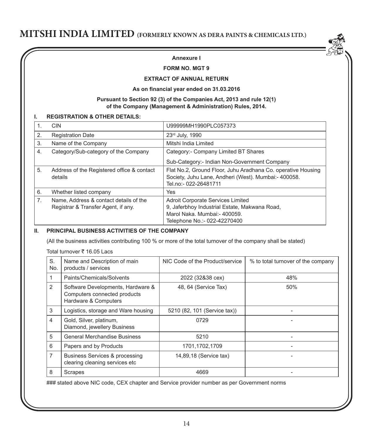### **Annexure I**

#### **FORM NO. MGT 9**

#### **EXTRACT OF ANNUAL RETURN**

#### **As on financial year ended on 31.03.2016**

#### **Pursuant to Section 92 (3) of the Companies Act, 2013 and rule 12(1) of the Company (Management & Administration) Rules, 2014.**

#### **I. REGISTRATION & OTHER DETAILS:**

|                | <b>CIN</b>                                                                    | U99999MH1990PLC057373                                                                                                                                     |
|----------------|-------------------------------------------------------------------------------|-----------------------------------------------------------------------------------------------------------------------------------------------------------|
| 2.             | <b>Registration Date</b>                                                      | 23rd July, 1990                                                                                                                                           |
| 3.             | Name of the Company                                                           | Mitshi India Limited                                                                                                                                      |
| 4.             | Category/Sub-category of the Company                                          | Category:- Company Limited BT Shares                                                                                                                      |
|                |                                                                               | Sub-Category:- Indian Non-Government Company                                                                                                              |
| 5.             | Address of the Registered office & contact<br>details                         | Flat No.2, Ground Floor, Juhu Aradhana Co. operative Housing<br>Society, Juhu Lane, Andheri (West). Mumbai:- 400058.<br>Tel.no:- 022-26481711             |
| 6.             | Whether listed company                                                        | Yes                                                                                                                                                       |
| 7 <sub>1</sub> | Name, Address & contact details of the<br>Registrar & Transfer Agent, if any. | <b>Adroit Corporate Services Limited</b><br>9. Jaferbhoy Industrial Estate, Makwana Road,<br>Marol Naka, Mumbai:- 400059.<br>Telephone No.:- 022-42270400 |

#### **II. PRINCIPAL BUSINESS ACTIVITIES OF THE COMPANY**

(All the business activities contributing 100 % or more of the total turnover of the company shall be stated)

Total turnover  $\bar{\tau}$  16.05 Lacs

| S.<br>No.      | Name and Description of main<br>products / services                                       | NIC Code of the Product/service | % to total turnover of the company |
|----------------|-------------------------------------------------------------------------------------------|---------------------------------|------------------------------------|
|                | Paints/Chemicals/Solvents                                                                 | 2022 (32&38 cex)                | 48%                                |
| 2              | Software Developments, Hardware &<br>Computers connected products<br>Hardware & Computers | 48, 64 (Service Tax)            | 50%                                |
| 3              | Logistics, storage and Ware housing                                                       | 5210 (82, 101 (Service tax))    |                                    |
| 4              | Gold, Silver, platinum,<br>Diamond, jewellery Business                                    | 0729                            |                                    |
| 5              | <b>General Merchandise Business</b>                                                       | 5210                            |                                    |
| 6              | Papers and by Products                                                                    | 1701,1702,1709                  |                                    |
| $\overline{7}$ | Business Services & processing<br>clearing cleaning services etc                          | 14,89,18 (Service tax)          |                                    |
| 8              | Scrapes                                                                                   | 4669                            |                                    |

### stated above NIC code, CEX chapter and Service provider number as per Government norms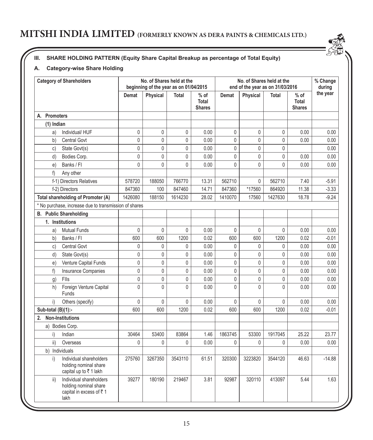## **III. SHARE HOLDING PATTERN (Equity Share Capital Breakup as percentage of Total Equity)**

## **A. Category-wise Share Holding**

| <b>Category of Shareholders</b> |                                                                                     |              | No. of Shares held at the<br>beginning of the year as on 01/04/2015 |              |                                         | No. of Shares held at the<br>end of the year as on 31/03/2016 |                |                |                                         | % Change<br>during |
|---------------------------------|-------------------------------------------------------------------------------------|--------------|---------------------------------------------------------------------|--------------|-----------------------------------------|---------------------------------------------------------------|----------------|----------------|-----------------------------------------|--------------------|
|                                 |                                                                                     | Demat        | Physical                                                            | <b>Total</b> | $%$ of<br><b>Total</b><br><b>Shares</b> | <b>Demat</b>                                                  | Physical       | <b>Total</b>   | $%$ of<br><b>Total</b><br><b>Shares</b> | the year           |
| A. Promoters                    |                                                                                     |              |                                                                     |              |                                         |                                                               |                |                |                                         |                    |
| $(1)$ Indian                    |                                                                                     |              |                                                                     |              |                                         |                                                               |                |                |                                         |                    |
| a)                              | Individual/HUF                                                                      | 0            | 0                                                                   | 0            | 0.00                                    | 0                                                             | 0              | $\mathbf 0$    | 0.00                                    | 0.00               |
| b)                              | <b>Central Govt</b>                                                                 | 0            | 0                                                                   | $\mathbf 0$  | 0.00                                    | 0                                                             | 0              | $\mathbf 0$    | 0.00                                    | 0.00               |
| C)                              | State Govt(s)                                                                       | 0            | 0                                                                   | 0            | 0.00                                    | 0                                                             | 0              | 0              |                                         | 0.00               |
| d)                              | Bodies Corp.                                                                        | 0            | 0                                                                   | $\mathbf{0}$ | 0.00                                    | 0                                                             | 0              | 0              | 0.00                                    | 0.00               |
| e)                              | Banks / Fl                                                                          | 0            | $\mathbf{0}$                                                        | $\mathbf{0}$ | 0.00                                    | $\mathbf{0}$                                                  | $\mathbf{0}$   | $\mathbf 0$    | 0.00                                    | 0.00               |
| f)                              | Any other                                                                           |              |                                                                     |              |                                         |                                                               |                |                |                                         |                    |
|                                 | f-1) Directors Relatives                                                            | 578720       | 188050                                                              | 766770       | 13.31                                   | 562710                                                        | $\mathbf{0}$   | 562710         | 7.40                                    | $-5.91$            |
|                                 | f-2) Directors                                                                      | 847360       | 100                                                                 | 847460       | 14.71                                   | 847360                                                        | *17560         | 864920         | 11.38                                   | $-3.33$            |
|                                 | Total shareholding of Promoter (A)                                                  | 1426080      | 188150                                                              | 1614230      | 28.02                                   | 1410070                                                       | 17560          | 1427630        | 18.78                                   | $-9.24$            |
|                                 | * No purchase, increase due to transmission of shares                               |              |                                                                     |              |                                         |                                                               |                |                |                                         |                    |
|                                 | <b>B.</b> Public Shareholding                                                       |              |                                                                     |              |                                         |                                                               |                |                |                                         |                    |
|                                 | 1. Institutions                                                                     |              |                                                                     |              |                                         |                                                               |                |                |                                         |                    |
| a)                              | <b>Mutual Funds</b>                                                                 | 0            | 0                                                                   | $\mathbf 0$  | 0.00                                    | 0                                                             | 0              | $\mathbf 0$    | 0.00                                    | 0.00               |
| b)                              | Banks / Fl                                                                          | 600          | 600                                                                 | 1200         | 0.02                                    | 600                                                           | 600            | 1200           | 0.02                                    | $-0.01$            |
| C)                              | <b>Central Govt</b>                                                                 | 0            | 0                                                                   | 0            | 0.00                                    | 0                                                             | 0              | 0              | 0.00                                    | 0.00               |
| d)                              | State Govt(s)                                                                       | 0            | $\mathbf{0}$                                                        | $\mathbf{0}$ | 0.00                                    | 0                                                             | $\mathbf{0}$   | $\overline{0}$ | 0.00                                    | 0.00               |
| e)                              | Venture Capital Funds                                                               | 0            | 0                                                                   | $\pmb{0}$    | 0.00                                    | $\overline{0}$                                                | 0              | $\mathsf 0$    | 0.00                                    | 0.00               |
| f)                              | Insurance Companies                                                                 | 0            | 0                                                                   | 0            | 0.00                                    | $\mathbf 0$                                                   | 0              | 0              | 0.00                                    | 0.00               |
| g)                              | Flls                                                                                | 0            | 0                                                                   | 0            | 0.00                                    | 0                                                             | 0              | 0              | 0.00                                    | 0.00               |
| h)                              | Foreign Venture Capital<br>Funds                                                    | $\mathbf{0}$ | $\mathbf{0}$                                                        | $\mathbf{0}$ | 0.00                                    | 0                                                             | $\overline{0}$ | $\mathbf{0}$   | 0.00                                    | 0.00               |
| i)                              | Others (specify)                                                                    | $\mathbf 0$  | 0                                                                   | $\mathbf 0$  | 0.00                                    | 0                                                             | $\mathbf 0$    | $\mathbf 0$    | 0.00                                    | 0.00               |
| Sub-total (B)(1):-              |                                                                                     | 600          | 600                                                                 | 1200         | 0.02                                    | 600                                                           | 600            | 1200           | 0.02                                    | $-0.01$            |
| 2.                              | <b>Non-Institutions</b>                                                             |              |                                                                     |              |                                         |                                                               |                |                |                                         |                    |
|                                 | a) Bodies Corp.                                                                     |              |                                                                     |              |                                         |                                                               |                |                |                                         |                    |
| i)                              | Indian                                                                              | 30464        | 53400                                                               | 83864        | 1.46                                    | 1863745                                                       | 53300          | 1917045        | 25.22                                   | 23.77              |
| ii)                             | Overseas                                                                            | 0            | 0                                                                   | $\mathbf{0}$ | 0.00                                    | 0                                                             | 0              | $\mathbf{0}$   | 0.00                                    | 0.00               |
|                                 | b) Individuals                                                                      |              |                                                                     |              |                                         |                                                               |                |                |                                         |                    |
| i)                              | Individual shareholders<br>holding nominal share<br>capital up to ₹1 lakh           | 275760       | 3267350                                                             | 3543110      | 61.51                                   | 320300                                                        | 3223820        | 3544120        | 46.63                                   | $-14.88$           |
| ii)                             | Individual shareholders<br>holding nominal share<br>capital in excess of ₹1<br>lakh | 39277        | 180190                                                              | 219467       | 3.81                                    | 92987                                                         | 320110         | 413097         | 5.44                                    | 1.63               |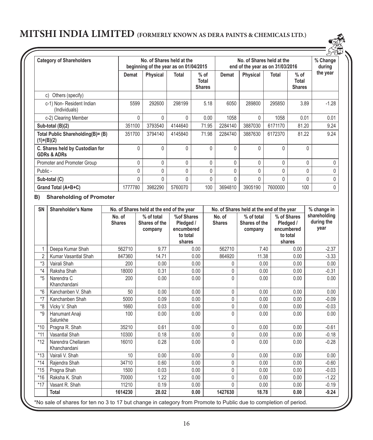| <b>Category of Shareholders</b>                           |         | No. of Shares held at the<br>beginning of the year as on 01/04/2015 |         |                                  | No. of Shares held at the<br>end of the year as on 31/03/2016 |                 |              |                                  | % Change<br>during |
|-----------------------------------------------------------|---------|---------------------------------------------------------------------|---------|----------------------------------|---------------------------------------------------------------|-----------------|--------------|----------------------------------|--------------------|
|                                                           | Demat   | <b>Physical</b>                                                     | Total   | $%$ of<br>Total<br><b>Shares</b> | Demat                                                         | <b>Physical</b> | Total        | $%$ of<br>Total<br><b>Shares</b> | the year           |
| Others (specify)<br>C)                                    |         |                                                                     |         |                                  |                                                               |                 |              |                                  |                    |
| c-1) Non-Resident Indian<br>(Individuals)                 | 5599    | 292600                                                              | 298199  | 5.18                             | 6050                                                          | 289800          | 295850       | 3.89                             | $-1.28$            |
| c-2) Clearing Member                                      | 0       | $\Omega$                                                            | 0       | 0.00                             | 1058                                                          | 0               | 1058         | 0.01                             | 0.01               |
| Sub-total (B)(2)                                          | 351100  | 3793540                                                             | 4144640 | 71.95                            | 2284140                                                       | 3887030         | 6171170      | 81.20                            | 9.24               |
| Total Public Shareholding(B)= (B)<br>$(1)+(B)(2)$         | 351700  | 3794140                                                             | 4145840 | 71.98                            | 2284740                                                       | 3887630         | 6172370      | 81.22                            | 9.24               |
| C. Shares held by Custodian for<br><b>GDRs &amp; ADRs</b> | 0       | 0                                                                   | 0       | $\Omega$                         | 0                                                             | 0               | $\mathbf{0}$ | 0                                |                    |
| Promoter and Promoter Group                               | 0       | $\Omega$                                                            | 0       | $\Omega$                         | $\Omega$                                                      | 0               | $\Omega$     | 0                                | $\Omega$           |
| Public -                                                  | 0       | 0                                                                   | 0       |                                  | $\Omega$                                                      | 0               | ſ            | 0                                |                    |
| Sub-total (C)                                             | 0       | 0                                                                   | 0       |                                  | 0                                                             | 0               | 0            | 0                                |                    |
| Grand Total (A+B+C)                                       | 1777780 | 3982290                                                             | 5760070 | 100                              | 3694810                                                       | 3905190         | 7600000      | 100                              | 0                  |

## **B) Shareholding of Promoter**

| <b>SN</b>      | <b>Shareholder's Name</b>                                                                                        |                         | No. of Shares held at the end of the year |                                                             |                         | No. of Shares held at the end of the year |                                                              | % change in                        |
|----------------|------------------------------------------------------------------------------------------------------------------|-------------------------|-------------------------------------------|-------------------------------------------------------------|-------------------------|-------------------------------------------|--------------------------------------------------------------|------------------------------------|
|                |                                                                                                                  | No. of<br><b>Shares</b> | % of total<br>Shares of the<br>company    | %of Shares<br>Pledged /<br>encumbered<br>to total<br>shares | No. of<br><b>Shares</b> | % of total<br>Shares of the<br>company    | % of Shares<br>Pledged /<br>encumbered<br>to total<br>shares | shareholding<br>during the<br>year |
| 1              | Deepa Kumar Shah                                                                                                 | 562710                  | 9.77                                      | 0.00                                                        | 562710                  | 7.40                                      | 0.00                                                         | $-2.37$                            |
| $\overline{2}$ | Kumar Vasantlal Shah                                                                                             | 847360                  | 14.71                                     | 0.00                                                        | 864920                  | 11.38                                     | 0.00                                                         | $-3.33$                            |
| $*3$           | Vairali Shah                                                                                                     | 200                     | 0.00                                      | 0.00                                                        | 0                       | 0.00                                      | 0.00                                                         | 0.00                               |
| $*_{4}$        | Raksha Shah                                                                                                      | 18000                   | 0.31                                      | 0.00                                                        | 0                       | 0.00                                      | 0.00                                                         | $-0.31$                            |
| $*5$           | Narendra C<br>Khanchandani                                                                                       | 200                     | 0.00                                      | 0.00                                                        | 0                       | 0.00                                      | 0.00                                                         | 0.00                               |
| $*6$           | Kanchanben V. Shah                                                                                               | 50                      | 0.00                                      | 0.00                                                        | 0                       | 0.00                                      | 0.00                                                         | 0.00                               |
| $*7$           | Kanchanben Shah                                                                                                  | 5000                    | 0.09                                      | 0.00                                                        | 0                       | 0.00                                      | 0.00                                                         | $-0.09$                            |
| $*8$           | Vicky V. Shah                                                                                                    | 1660                    | 0.03                                      | 0.00                                                        | 0                       | 0.00                                      | 0.00                                                         | $-0.03$                            |
| $*g$           | Hanumant Anaji<br>Salunkhe                                                                                       | 100                     | 0.00                                      | 0.00                                                        | 0                       | 0.00                                      | 0.00                                                         | 0.00                               |
| $*10$          | Pragna R. Shah                                                                                                   | 35210                   | 0.61                                      | 0.00                                                        | 0                       | 0.00                                      | 0.00                                                         | $-0.61$                            |
| $*11$          | Vasantlal Shah                                                                                                   | 10300                   | 0.18                                      | 0.00                                                        | 0                       | 0.00                                      | 0.00                                                         | $-0.18$                            |
| $*12$          | Narendra Chellaram<br>Khanchandani                                                                               | 16010                   | 0.28                                      | 0.00                                                        | 0                       | 0.00                                      | 0.00                                                         | $-0.28$                            |
| $*13$          | Vairali V. Shah                                                                                                  | 10                      | 0.00                                      | 0.00                                                        | 0                       | 0.00                                      | 0.00                                                         | 0.00                               |
| $*14$          | Raiendra Shah                                                                                                    | 34710                   | 0.60                                      | 0.00                                                        | 0                       | 0.00                                      | 0.00                                                         | $-0.60$                            |
| $*15$          | Pragna Shah                                                                                                      | 1500                    | 0.03                                      | 0.00                                                        | 0                       | 0.00                                      | 0.00                                                         | $-0.03$                            |
| $*16$          | Raksha K. Shah                                                                                                   | 70000                   | 1.22                                      | 0.00                                                        | 0                       | 0.00                                      | 0.00                                                         | $-1.22$                            |
| $*17$          | Vasant R. Shah                                                                                                   | 11210                   | 0.19                                      | 0.00                                                        | 0                       | 0.00                                      | 0.00                                                         | $-0.19$                            |
|                | <b>Total</b>                                                                                                     | 1614230                 | 28.02                                     | 0.00                                                        | 1427630                 | 18.78                                     | 0.00                                                         | $-9.24$                            |
|                | *No sale of shares for ten no 3 to 17 but change in category from Promote to Public due to completion of period. |                         |                                           |                                                             |                         |                                           |                                                              |                                    |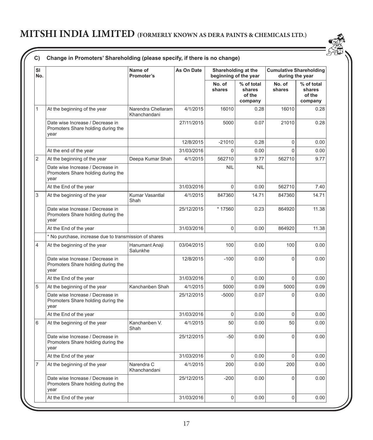| SI<br>No.      |                                                                                | Name of<br>Promoter's              | As On Date | Shareholding at the<br>beginning of the year |                                           | <b>Cumulative Shareholding</b><br>during the year |                                           |  |  |
|----------------|--------------------------------------------------------------------------------|------------------------------------|------------|----------------------------------------------|-------------------------------------------|---------------------------------------------------|-------------------------------------------|--|--|
|                |                                                                                |                                    |            | No. of<br>shares                             | % of total<br>shares<br>of the<br>company | No. of<br>shares                                  | % of total<br>shares<br>of the<br>company |  |  |
| $\mathbf{1}$   | At the beginning of the year                                                   | Narendra Chellaram<br>Khanchandani | 4/1/2015   | 16010                                        | 0.28                                      | 16010                                             | 0.28                                      |  |  |
|                | Date wise Increase / Decrease in<br>Promoters Share holding during the<br>vear |                                    | 27/11/2015 | 5000                                         | 0.07                                      | 21010                                             | 0.28                                      |  |  |
|                |                                                                                |                                    | 12/8/2015  | $-21010$                                     | 0.28                                      | $\mathbf 0$                                       | 0.00                                      |  |  |
|                | At the end of the year                                                         |                                    | 31/03/2016 | $\Omega$                                     | 0.00                                      | $\mathbf 0$                                       | 0.00                                      |  |  |
| $\overline{2}$ | At the beginning of the year                                                   | Deepa Kumar Shah                   | 4/1/2015   | 562710                                       | 9.77                                      | 562710                                            | 9.77                                      |  |  |
|                | Date wise Increase / Decrease in<br>Promoters Share holding during the<br>year |                                    |            | <b>NIL</b>                                   | <b>NIL</b>                                |                                                   |                                           |  |  |
|                | At the End of the year                                                         |                                    | 31/03/2016 | $\mathbf 0$                                  | 0.00                                      | 562710                                            | 7.40                                      |  |  |
| 3              | At the beginning of the year                                                   | Kumar Vasantlal<br>Shah            | 4/1/2015   | 847360                                       | 14.71                                     | 847360                                            | 14.71                                     |  |  |
|                | Date wise Increase / Decrease in<br>Promoters Share holding during the<br>year |                                    | 25/12/2015 | * 17560                                      | 0.23                                      | 864920                                            | 11.38                                     |  |  |
|                | At the End of the year                                                         |                                    | 31/03/2016 | $\mathbf 0$                                  | 0.00                                      | 864920                                            | 11.38                                     |  |  |
|                | * No purchase, increase due to transmission of shares                          |                                    |            |                                              |                                           |                                                   |                                           |  |  |
| 4              | At the beginning of the year                                                   | Hanumant Anaji<br>Salunkhe         | 03/04/2015 | 100                                          | 0.00                                      | 100                                               | 0.00                                      |  |  |
|                | Date wise Increase / Decrease in<br>Promoters Share holding during the<br>year |                                    | 12/8/2015  | $-100$                                       | 0.00                                      | $\Omega$                                          | 0.00                                      |  |  |
|                | At the End of the year                                                         |                                    | 31/03/2016 | $\Omega$                                     | 0.00                                      | $\mathbf 0$                                       | 0.00                                      |  |  |
| 5              | At the beginning of the year                                                   | Kanchanben Shah                    | 4/1/2015   | 5000                                         | 0.09                                      | 5000                                              | 0.09                                      |  |  |
|                | Date wise Increase / Decrease in<br>Promoters Share holding during the<br>vear |                                    | 25/12/2015 | $-5000$                                      | 0.07                                      | $\Omega$                                          | 0.00                                      |  |  |
|                | At the End of the year                                                         |                                    | 31/03/2016 | $\mathbf 0$                                  | 0.00                                      | $\mathbf 0$                                       | 0.00                                      |  |  |
| 6              | At the beginning of the year                                                   | Kanchanben V.<br>Shah              | 4/1/2015   | 50                                           | 0.00                                      | 50                                                | 0.00                                      |  |  |
|                | Date wise Increase / Decrease in<br>Promoters Share holding during the<br>vear |                                    | 25/12/2015 | $-50$                                        | 0.00                                      | $\mathbf 0$                                       | 0.00                                      |  |  |
|                | At the End of the year                                                         |                                    | 31/03/2016 | $\mathbf 0$                                  | 0.00                                      | $\mathbf 0$                                       | 0.00                                      |  |  |
| $\overline{7}$ | At the beginning of the year                                                   | Narendra C<br>Khanchandani         | 4/1/2015   | 200                                          | 0.00                                      | 200                                               | 0.00                                      |  |  |
|                | Date wise Increase / Decrease in<br>Promoters Share holding during the<br>year |                                    | 25/12/2015 | $-200$                                       | 0.00                                      | $\mathbf 0$                                       | 0.00                                      |  |  |
|                | At the End of the year                                                         |                                    | 31/03/2016 | $\Omega$                                     | 0.00                                      | $\Omega$                                          | 0.00                                      |  |  |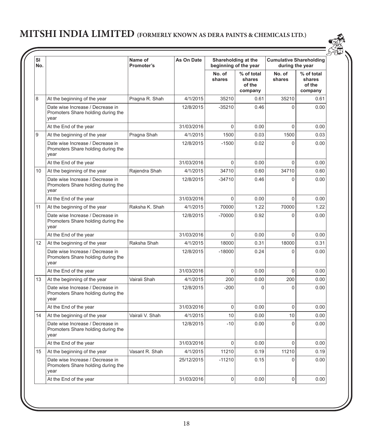| SI<br>No. |                                                                                | Name of<br>Promoter's | As On Date | Shareholding at the | beginning of the year                     | <b>Cumulative Shareholding</b><br>during the year |                                           |
|-----------|--------------------------------------------------------------------------------|-----------------------|------------|---------------------|-------------------------------------------|---------------------------------------------------|-------------------------------------------|
|           |                                                                                |                       |            | No. of<br>shares    | % of total<br>shares<br>of the<br>company | No. of<br>shares                                  | % of total<br>shares<br>of the<br>company |
| 8         | At the beginning of the year                                                   | Pragna R. Shah        | 4/1/2015   | 35210               | 0.61                                      | 35210                                             | 0.61                                      |
|           | Date wise Increase / Decrease in<br>Promoters Share holding during the<br>year |                       | 12/8/2015  | $-35210$            | 0.46                                      | $\Omega$                                          | 0.00                                      |
|           | At the End of the year                                                         |                       | 31/03/2016 | $\Omega$            | 0.00                                      | $\Omega$                                          | 0.00                                      |
| 9         | At the beginning of the year                                                   | Pragna Shah           | 4/1/2015   | 1500                | 0.03                                      | 1500                                              | 0.03                                      |
|           | Date wise Increase / Decrease in<br>Promoters Share holding during the<br>year |                       | 12/8/2015  | $-1500$             | 0.02                                      | $\Omega$                                          | 0.00                                      |
|           | At the End of the year                                                         |                       | 31/03/2016 | $\Omega$            | 0.00                                      | $\Omega$                                          | 0.00                                      |
| 10        | At the beginning of the year                                                   | Rajendra Shah         | 4/1/2015   | 34710               | 0.60                                      | 34710                                             | 0.60                                      |
|           | Date wise Increase / Decrease in<br>Promoters Share holding during the<br>year |                       | 12/8/2015  | $-34710$            | 0.46                                      | $\Omega$                                          | 0.00                                      |
|           | At the End of the year                                                         |                       | 31/03/2016 | $\Omega$            | 0.00                                      | $\Omega$                                          | 0.00                                      |
| 11        | At the beginning of the year                                                   | Raksha K. Shah        | 4/1/2015   | 70000               | 1.22                                      | 70000                                             | 1.22                                      |
|           | Date wise Increase / Decrease in<br>Promoters Share holding during the<br>year |                       | 12/8/2015  | $-70000$            | 0.92                                      | $\Omega$                                          | 0.00                                      |
|           | At the End of the year                                                         |                       | 31/03/2016 | $\Omega$            | 0.00                                      | $\Omega$                                          | 0.00                                      |
| 12        | At the beginning of the year                                                   | Raksha Shah           | 4/1/2015   | 18000               | 0.31                                      | 18000                                             | 0.31                                      |
|           | Date wise Increase / Decrease in<br>Promoters Share holding during the<br>year |                       | 12/8/2015  | $-18000$            | 0.24                                      | $\Omega$                                          | 0.00                                      |
|           | At the End of the year                                                         |                       | 31/03/2016 | $\Omega$            | 0.00                                      | $\Omega$                                          | 0.00                                      |
| 13        | At the beginning of the year                                                   | Vairali Shah          | 4/1/2015   | 200                 | 0.00                                      | 200                                               | 0.00                                      |
|           | Date wise Increase / Decrease in<br>Promoters Share holding during the<br>year |                       | 12/8/2015  | $-200$              | $\mathbf{0}$                              | $\Omega$                                          | 0.00                                      |
|           | At the End of the year                                                         |                       | 31/03/2016 | 0                   | 0.00                                      | $\Omega$                                          | 0.00                                      |
| 14        | At the beginning of the year                                                   | Vairali V. Shah       | 4/1/2015   | 10                  | 0.00                                      | 10                                                | 0.00                                      |
|           | Date wise Increase / Decrease in<br>Promoters Share holding during the<br>year |                       | 12/8/2015  | $-10$               | 0.00                                      | $\Omega$                                          | 0.00                                      |
|           | At the End of the year                                                         |                       | 31/03/2016 | $\Omega$            | 0.00                                      | $\Omega$                                          | 0.00                                      |
| 15        | At the beginning of the year                                                   | Vasant R. Shah        | 4/1/2015   | 11210               | 0.19                                      | 11210                                             | 0.19                                      |
|           | Date wise Increase / Decrease in<br>Promoters Share holding during the<br>year |                       | 25/12/2015 | $-11210$            | 0.15                                      | $\Omega$                                          | 0.00                                      |
|           | At the End of the year                                                         |                       | 31/03/2016 | $\Omega$            | 0.00                                      | $\Omega$                                          | 0.00                                      |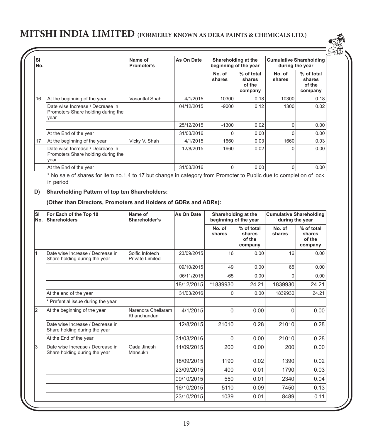| <b>SI</b><br>No. |                                                                                | Name of<br>Promoter's | As On Date | Shareholding at the | beginning of the year                     | <b>Cumulative Shareholding</b><br>during the year |                                           |
|------------------|--------------------------------------------------------------------------------|-----------------------|------------|---------------------|-------------------------------------------|---------------------------------------------------|-------------------------------------------|
|                  |                                                                                |                       |            | No. of<br>shares    | % of total<br>shares<br>of the<br>company | No. of<br>shares                                  | % of total<br>shares<br>of the<br>company |
| 16               | At the beginning of the year                                                   | Vasantlal Shah        | 4/1/2015   | 10300               | 0.18                                      | 10300                                             | 0.18                                      |
|                  | Date wise Increase / Decrease in<br>Promoters Share holding during the<br>year |                       | 04/12/2015 | $-9000$             | 0.12                                      | 1300                                              | 0.02                                      |
|                  |                                                                                |                       | 25/12/2015 | $-1300$             | 0.02                                      | O                                                 | 0.00                                      |
|                  | At the End of the year                                                         |                       | 31/03/2016 | $\Omega$            | 0.00                                      |                                                   | 0.00                                      |
| 17               | At the beginning of the year                                                   | Vicky V. Shah         | 4/1/2015   | 1660                | 0.03                                      | 1660                                              | 0.03                                      |
|                  | Date wise Increase / Decrease in<br>Promoters Share holding during the<br>year |                       | 12/8/2015  | $-1660$             | 0.02                                      | U                                                 | 0.00                                      |
|                  | At the End of the year                                                         |                       | 31/03/2016 | 0                   | 0.00                                      | O                                                 | 0.00                                      |

<u>SK</u>

\* No sale of shares for item no.1,4 to 17 but change in category from Promoter to Public due to completion of lock in period

#### **D) Shareholding Pattern of top ten Shareholders:**

**(Other than Directors, Promoters and Holders of GDRs and ADRs):**

| SI<br>No.      | For Each of the Top 10<br><b>Shareholders</b>                     | Name of<br>Shareholder's                  | As On Date | Shareholding at the<br>beginning of the year |                                           | <b>Cumulative Shareholding</b><br>during the year |                                           |
|----------------|-------------------------------------------------------------------|-------------------------------------------|------------|----------------------------------------------|-------------------------------------------|---------------------------------------------------|-------------------------------------------|
|                |                                                                   |                                           |            | No. of<br>shares                             | % of total<br>shares<br>of the<br>company | No. of<br>shares                                  | % of total<br>shares<br>of the<br>company |
|                | Date wise Increase / Decrease in<br>Share holding during the year | Solfic Infotech<br><b>Private Limited</b> | 23/09/2015 | 16                                           | 0.00                                      | 16                                                | 0.00                                      |
|                |                                                                   |                                           | 09/10/2015 | 49                                           | 0.00                                      | 65                                                | 0.00                                      |
|                |                                                                   |                                           | 06/11/2015 | $-65$                                        | 0.00                                      | U                                                 | 0.00                                      |
|                |                                                                   |                                           | 18/12/2015 | *1839930                                     | 24.21                                     | 1839930                                           | 24.21                                     |
|                | At the end of the year                                            |                                           | 31/03/2016 | $\Omega$                                     | 0.00                                      | 1839930                                           | 24.21                                     |
|                | * Prefential issue during the year                                |                                           |            |                                              |                                           |                                                   |                                           |
| $\overline{2}$ | At the beginning of the year                                      | Narendra Chellaram<br>Khanchandani        | 4/1/2015   | $\Omega$                                     | 0.00                                      | 0                                                 | 0.00                                      |
|                | Date wise Increase / Decrease in<br>Share holding during the year |                                           | 12/8/2015  | 21010                                        | 0.28                                      | 21010                                             | 0.28                                      |
|                | At the End of the year                                            |                                           | 31/03/2016 | $\Omega$                                     | 0.00                                      | 21010                                             | 0.28                                      |
| 3              | Date wise Increase / Decrease in<br>Share holding during the year | Gada Jinesh<br><b>Mansukh</b>             | 11/09/2015 | 200                                          | 0.00                                      | 200                                               | 0.00                                      |
|                |                                                                   |                                           | 18/09/2015 | 1190                                         | 0.02                                      | 1390                                              | 0.02                                      |
|                |                                                                   |                                           | 23/09/2015 | 400                                          | 0.01                                      | 1790                                              | 0.03                                      |
|                |                                                                   |                                           | 09/10/2015 | 550                                          | 0.01                                      | 2340                                              | 0.04                                      |
|                |                                                                   |                                           | 16/10/2015 | 5110                                         | 0.09                                      | 7450                                              | 0.13                                      |
|                |                                                                   |                                           | 23/10/2015 | 1039                                         | 0.01                                      | 8489                                              | 0.11                                      |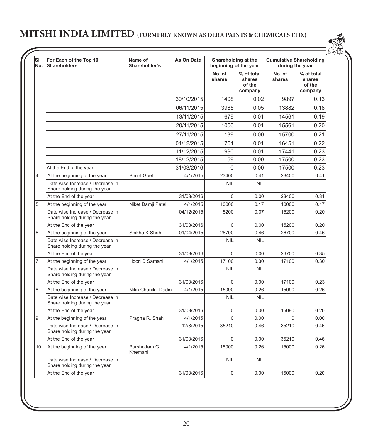| SI<br>No. | For Each of the Top 10<br>Shareholders                            | Name of<br>Shareholder's | As On Date | Shareholding at the<br>beginning of the year |                                           | <b>Cumulative Shareholding</b><br>during the year |                                           |
|-----------|-------------------------------------------------------------------|--------------------------|------------|----------------------------------------------|-------------------------------------------|---------------------------------------------------|-------------------------------------------|
|           |                                                                   |                          |            | No. of<br>shares                             | % of total<br>shares<br>of the<br>company | No. of<br>shares                                  | % of total<br>shares<br>of the<br>company |
|           |                                                                   |                          | 30/10/2015 | 1408                                         | 0.02                                      | 9897                                              | 0.13                                      |
|           |                                                                   |                          | 06/11/2015 | 3985                                         | 0.05                                      | 13882                                             | 0.18                                      |
|           |                                                                   |                          | 13/11/2015 | 679                                          | 0.01                                      | 14561                                             | 0.19                                      |
|           |                                                                   |                          | 20/11/2015 | 1000                                         | 0.01                                      | 15561                                             | 0.20                                      |
|           |                                                                   |                          | 27/11/2015 | 139                                          | 0.00                                      | 15700                                             | 0.21                                      |
|           |                                                                   |                          | 04/12/2015 | 751                                          | 0.01                                      | 16451                                             | 0.22                                      |
|           |                                                                   |                          | 11/12/2015 | 990                                          | 0.01                                      | 17441                                             | 0.23                                      |
|           |                                                                   |                          | 18/12/2015 | 59                                           | 0.00                                      | 17500                                             | 0.23                                      |
|           | At the End of the year                                            |                          | 31/03/2016 | 0                                            | 0.00                                      | 17500                                             | 0.23                                      |
| 4         | At the beginning of the year                                      | <b>Bimal Goel</b>        | 4/1/2015   | 23400                                        | 0.41                                      | 23400                                             | 0.41                                      |
|           | Date wise Increase / Decrease in<br>Share holding during the year |                          |            | <b>NIL</b>                                   | <b>NIL</b>                                |                                                   |                                           |
|           | At the End of the year                                            |                          | 31/03/2016 | $\Omega$                                     | 0.00                                      | 23400                                             | 0.31                                      |
| 5         | At the beginning of the year                                      | Niket Damji Patel        | 4/1/2015   | 10000                                        | 0.17                                      | 10000                                             | 0.17                                      |
|           | Date wise Increase / Decrease in<br>Share holding during the year |                          | 04/12/2015 | 5200                                         | 0.07                                      | 15200                                             | 0.20                                      |
|           | At the End of the year                                            |                          | 31/03/2016 | 0                                            | 0.00                                      | 15200                                             | 0.20                                      |
| 6         | At the beginning of the year                                      | Shikha K Shah            | 01/04/2015 | 26700                                        | 0.46                                      | 26700                                             | 0.46                                      |
|           | Date wise Increase / Decrease in<br>Share holding during the year |                          |            | <b>NIL</b>                                   | <b>NIL</b>                                |                                                   |                                           |
|           | At the End of the year                                            |                          | 31/03/2016 | $\Omega$                                     | 0.00                                      | 26700                                             | 0.35                                      |
| 7         | At the beginning of the year                                      | Hoori D Samani           | 4/1/2015   | 17100                                        | 0.30                                      | 17100                                             | 0.30                                      |
|           | Date wise Increase / Decrease in<br>Share holding during the year |                          |            | <b>NIL</b>                                   | <b>NIL</b>                                |                                                   |                                           |
|           | At the End of the year                                            |                          | 31/03/2016 | $\Omega$                                     | 0.00                                      | 17100                                             | 0.23                                      |
| 8         | At the beginning of the year                                      | Nitin Chunilal Dadia     | 4/1/2015   | 15090                                        | 0.26                                      | 15090                                             | 0.26                                      |
|           | Date wise Increase / Decrease in<br>Share holding during the year |                          |            | <b>NIL</b>                                   | <b>NIL</b>                                |                                                   |                                           |
|           | At the End of the year                                            |                          | 31/03/2016 | 0                                            | 0.00                                      | 15090                                             | 0.20                                      |
| 9         | At the beginning of the year                                      | Pragna R. Shah           | 4/1/2015   | $\Omega$                                     | 0.00                                      | $\Omega$                                          | 0.00                                      |
|           | Date wise Increase / Decrease in<br>Share holding during the year |                          | 12/8/2015  | 35210                                        | 0.46                                      | 35210                                             | 0.46                                      |
|           | At the End of the year                                            |                          | 31/03/2016 | $\Omega$                                     | 0.00                                      | 35210                                             | 0.46                                      |
| 10        | At the beginning of the year                                      | Purshottam G<br>Khemani  | 4/1/2015   | 15000                                        | 0.26                                      | 15000                                             | 0.26                                      |
|           | Date wise Increase / Decrease in<br>Share holding during the year |                          |            | <b>NIL</b>                                   | <b>NIL</b>                                |                                                   |                                           |
|           | At the End of the year                                            |                          | 31/03/2016 | $\Omega$                                     | 0.00                                      | 15000                                             | 0.20                                      |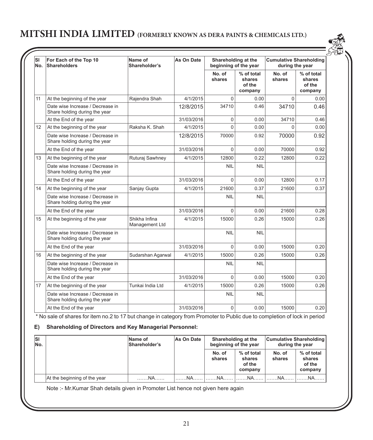| SI<br>No. | For Each of the Top 10<br>Shareholders                            | Name of<br>Shareholder's        | As On Date | Shareholding at the<br>beginning of the year |                                           | <b>Cumulative Shareholding</b><br>during the year |                                           |
|-----------|-------------------------------------------------------------------|---------------------------------|------------|----------------------------------------------|-------------------------------------------|---------------------------------------------------|-------------------------------------------|
|           |                                                                   |                                 |            | No. of<br>shares                             | % of total<br>shares<br>of the<br>company | No. of<br>shares                                  | % of total<br>shares<br>of the<br>company |
| 11        | At the beginning of the year                                      | Rajendra Shah                   | 4/1/2015   | $\Omega$                                     | 0.00                                      | $\Omega$                                          | 0.00                                      |
|           | Date wise Increase / Decrease in<br>Share holding during the year |                                 | 12/8/2015  | 34710                                        | 0.46                                      | 34710                                             | 0.46                                      |
|           | At the End of the year                                            |                                 | 31/03/2016 | $\mathbf{0}$                                 | 0.00                                      | 34710                                             | 0.46                                      |
| 12        | At the beginning of the year                                      | Raksha K. Shah                  | 4/1/2015   | $\overline{0}$                               | 0.00                                      | $\Omega$                                          | 0.00                                      |
|           | Date wise Increase / Decrease in<br>Share holding during the year |                                 | 12/8/2015  | 70000                                        | 0.92                                      | 70000                                             | 0.92                                      |
|           | At the End of the year                                            |                                 | 31/03/2016 | $\Omega$                                     | 0.00                                      | 70000                                             | 0.92                                      |
| 13        | At the beginning of the year                                      | Ruturaj Sawhney                 | 4/1/2015   | 12800                                        | 0.22                                      | 12800                                             | 0.22                                      |
|           | Date wise Increase / Decrease in<br>Share holding during the year |                                 |            | <b>NIL</b>                                   | <b>NIL</b>                                |                                                   |                                           |
|           | At the End of the year                                            |                                 | 31/03/2016 | $\Omega$                                     | 0.00                                      | 12800                                             | 0.17                                      |
| 14        | At the beginning of the year                                      | Sanjay Gupta                    | 4/1/2015   | 21600                                        | 0.37                                      | 21600                                             | 0.37                                      |
|           | Date wise Increase / Decrease in<br>Share holding during the year |                                 |            | <b>NIL</b>                                   | <b>NIL</b>                                |                                                   |                                           |
|           | At the End of the year                                            |                                 | 31/03/2016 | $\Omega$                                     | 0.00                                      | 21600                                             | 0.28                                      |
| 15        | At the beginning of the year                                      | Shikha Infina<br>Management Ltd | 4/1/2015   | 15000                                        | 0.26                                      | 15000                                             | 0.26                                      |
|           | Date wise Increase / Decrease in<br>Share holding during the year |                                 |            | <b>NIL</b>                                   | <b>NIL</b>                                |                                                   |                                           |
|           | At the End of the year                                            |                                 | 31/03/2016 | $\Omega$                                     | 0.00                                      | 15000                                             | 0.20                                      |
| 16        | At the beginning of the year                                      | Sudarshan Agarwal               | 4/1/2015   | 15000                                        | 0.26                                      | 15000                                             | 0.26                                      |
|           | Date wise Increase / Decrease in<br>Share holding during the year |                                 |            | <b>NIL</b>                                   | <b>NIL</b>                                |                                                   |                                           |
|           | At the End of the year                                            |                                 | 31/03/2016 | $\Omega$                                     | 0.00                                      | 15000                                             | 0.20                                      |
| 17        | At the beginning of the year                                      | Tunkai India Ltd                | 4/1/2015   | 15000                                        | 0.26                                      | 15000                                             | 0.26                                      |
|           | Date wise Increase / Decrease in<br>Share holding during the year |                                 |            | <b>NIL</b>                                   | <b>NIL</b>                                |                                                   |                                           |
|           | At the End of the year                                            |                                 | 31/03/2016 | $\Omega$                                     | 0.00                                      | 15000                                             | 0.20                                      |

\* No sale of shares for item no.2 to 17 but change in category from Promoter to Public due to completion of lock in period

### **E) Shareholding of Directors and Key Managerial Personnel:**

| lsı<br>No. |                              | Cumulative Shareholding<br>As On Date<br>Shareholding at the<br>Name of<br>Shareholder's<br>beginning of the year<br>during the year |    |                  |                                           |                  |                                           |
|------------|------------------------------|--------------------------------------------------------------------------------------------------------------------------------------|----|------------------|-------------------------------------------|------------------|-------------------------------------------|
|            |                              |                                                                                                                                      |    | No. of<br>shares | % of total<br>shares<br>of the<br>company | No. of<br>shares | % of total<br>shares<br>of the<br>company |
|            | At the beginning of the year | NA                                                                                                                                   | NA | NA.              | NA.                                       | NA               |                                           |

Note :- Mr.Kumar Shah details given in Promoter List hence not given here again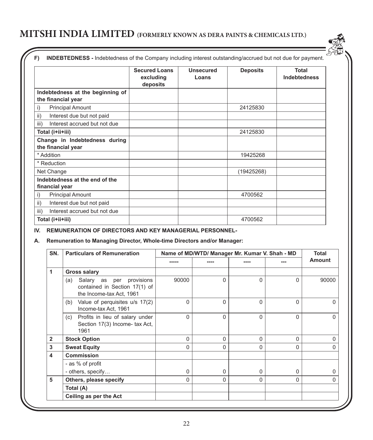|                                                        | <b>Secured Loans</b><br>excluding<br>deposits | Unsecured<br>Loans | <b>Deposits</b> | Total<br><b>Indebtedness</b> |
|--------------------------------------------------------|-----------------------------------------------|--------------------|-----------------|------------------------------|
| Indebtedness at the beginning of<br>the financial year |                                               |                    |                 |                              |
| <b>Principal Amount</b><br>i)                          |                                               |                    | 24125830        |                              |
| Interest due but not paid<br>ii)                       |                                               |                    |                 |                              |
| Interest accrued but not due<br>iii)                   |                                               |                    |                 |                              |
| Total (i+ii+iii)                                       |                                               |                    | 24125830        |                              |
| Change in Indebtedness during<br>the financial year    |                                               |                    |                 |                              |
| * Addition                                             |                                               |                    | 19425268        |                              |
| * Reduction                                            |                                               |                    |                 |                              |
| Net Change                                             |                                               |                    | (19425268)      |                              |
| Indebtedness at the end of the<br>financial year       |                                               |                    |                 |                              |
| <b>Principal Amount</b><br>i)                          |                                               |                    | 4700562         |                              |
| ii)<br>Interest due but not paid                       |                                               |                    |                 |                              |
| Interest accrued but not due<br>iii)                   |                                               |                    |                 |                              |
| Total (i+ii+iii)                                       |                                               |                    | 4700562         |                              |

**IV. REMUNERATION OF DIRECTORS AND KEY MANAGERIAL PERSONNEL-**

## **A. Remuneration to Managing Director, Whole-time Directors and/or Manager:**

| SN.            | <b>Particulars of Remuneration</b><br>Name of MD/WTD/ Manager Mr. Kumar V. Shah - MD         |          |          |   |          |              |  |
|----------------|----------------------------------------------------------------------------------------------|----------|----------|---|----------|--------------|--|
|                |                                                                                              | -----    |          |   |          | Amount       |  |
| 1              | <b>Gross salary</b>                                                                          |          |          |   |          |              |  |
|                | Salary as per provisions<br>(a)<br>contained in Section 17(1) of<br>the Income-tax Act, 1961 | 90000    | $\Omega$ | 0 | 0        | 90000        |  |
|                | Value of perquisites u/s 17(2)<br>(b)<br>Income-tax Act, 1961                                | 0        | $\Omega$ | 0 | $\Omega$ | O            |  |
|                | Profits in lieu of salary under<br>(c)<br>Section 17(3) Income- tax Act,<br>1961             | $\Omega$ | $\Omega$ | 0 | $\Omega$ | <sup>0</sup> |  |
| $\overline{2}$ | <b>Stock Option</b>                                                                          | 0        | $\Omega$ | 0 | 0        | 0            |  |
| 3              | <b>Sweat Equity</b>                                                                          | 0        | $\Omega$ | 0 | $\Omega$ | ∩            |  |
| 4              | Commission                                                                                   |          |          |   |          |              |  |
|                | - as % of profit                                                                             |          |          |   |          |              |  |
|                | - others, specify                                                                            | 0        | $\Omega$ | 0 | U        | $\Omega$     |  |
| 5              | Others, please specify                                                                       | 0        | $\Omega$ | 0 | $\Omega$ | $\Omega$     |  |
|                | Total (A)                                                                                    |          |          |   |          |              |  |
|                | Ceiling as per the Act                                                                       |          |          |   |          |              |  |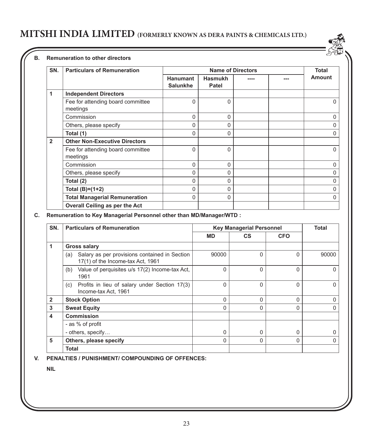#### **B. Remuneration to other directors**

| SN.            | <b>Particulars of Remuneration</b>            |                                    |                         | <b>Name of Directors</b> | <b>Total</b>  |
|----------------|-----------------------------------------------|------------------------------------|-------------------------|--------------------------|---------------|
|                |                                               | <b>Hanumant</b><br><b>Salunkhe</b> | <b>Hasmukh</b><br>Patel |                          | <b>Amount</b> |
| 1              | <b>Independent Directors</b>                  |                                    |                         |                          |               |
|                | Fee for attending board committee<br>meetings | 0                                  | $\Omega$                |                          | n             |
|                | Commission                                    | 0                                  | $\Omega$                |                          | n             |
|                | Others, please specify                        | 0                                  | 0                       |                          | n             |
|                | Total (1)                                     | 0                                  | 0                       |                          | n             |
| $\overline{2}$ | <b>Other Non-Executive Directors</b>          |                                    |                         |                          |               |
|                | Fee for attending board committee<br>meetings | $\Omega$                           | $\Omega$                |                          | $\Omega$      |
|                | Commission                                    | $\Omega$                           | $\Omega$                |                          | $\Omega$      |
|                | Others, please specify                        | 0                                  | $\Omega$                |                          | $\Omega$      |
|                | Total (2)                                     | 0                                  | $\Omega$                |                          | $\Omega$      |
|                | Total $(B)=(1+2)$                             | $\Omega$                           | $\Omega$                |                          | $\Omega$      |
|                | <b>Total Managerial Remuneration</b>          | $\Omega$                           | $\Omega$                |                          | ∩             |
|                | Overall Ceiling as per the Act                |                                    |                         |                          |               |

### **C.** Remuneration to Key Managerial Personnel other than MD/Manager/WTD :

| SN.            | <b>Particulars of Remuneration</b>                                                        |           | <b>Key Managerial Personnel</b> |            | Total |
|----------------|-------------------------------------------------------------------------------------------|-----------|---------------------------------|------------|-------|
|                |                                                                                           | <b>MD</b> | CS.                             | <b>CFO</b> |       |
| 1              | <b>Gross salary</b>                                                                       |           |                                 |            |       |
|                | Salary as per provisions contained in Section<br>(a)<br>17(1) of the Income-tax Act, 1961 | 90000     | $\Omega$                        | $\Omega$   | 90000 |
|                | Value of perquisites u/s 17(2) Income-tax Act.<br>(b)<br>1961                             | 0         | $\Omega$                        | 0          |       |
|                | Profits in lieu of salary under Section 17(3)<br>(c)<br>Income-tax Act, 1961              | 0         | $\Omega$                        | 0          |       |
| $\overline{2}$ | <b>Stock Option</b>                                                                       | $\Omega$  | $\Omega$                        | 0          |       |
| 3              | <b>Sweat Equity</b>                                                                       | 0         | <sup>0</sup>                    | 0          |       |
| 4              | Commission                                                                                |           |                                 |            |       |
|                | - as % of profit                                                                          |           |                                 |            |       |
|                | - others, specify                                                                         | 0         | <sup>0</sup>                    | 0          |       |
| 5              | Others, please specify                                                                    | 0         | $\Omega$                        | 0          |       |
|                | Total                                                                                     |           |                                 |            |       |

**V. PENALTIES / PUNISHMENT/ COMPOUNDING OF OFFENCES:**

**NIL**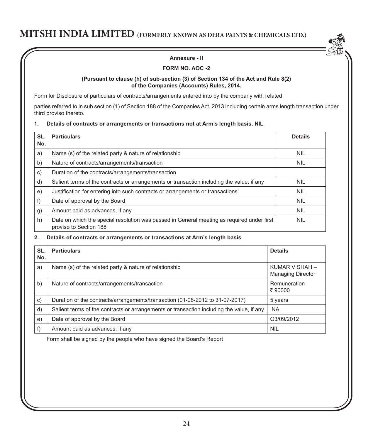

### **FORM NO. AOC -2**

#### **(Pursuant to clause (h) of sub-section (3) of Section 134 of the Act and Rule 8(2) of the Companies (Accounts) Rules, 2014.**

Form for Disclosure of particulars of contracts/arrangements entered into by the company with related

parties referred to in sub section (1) of Section 188 of the Companies Act, 2013 including certain arms length transaction under third proviso thereto.

### **1. Details of contracts or arrangements or transactions not at Arm's length basis. NIL**

| SL. | <b>Particulars</b>                                                                                                   | <b>Details</b> |
|-----|----------------------------------------------------------------------------------------------------------------------|----------------|
| No. |                                                                                                                      |                |
| a)  | Name (s) of the related party & nature of relationship                                                               | <b>NIL</b>     |
| b)  | Nature of contracts/arrangements/transaction                                                                         | <b>NIL</b>     |
| C)  | Duration of the contracts/arrangements/transaction                                                                   |                |
| d)  | Salient terms of the contracts or arrangements or transaction including the value, if any                            | <b>NIL</b>     |
| e)  | Justification for entering into such contracts or arrangements or transactions'                                      | <b>NIL</b>     |
| f)  | Date of approval by the Board                                                                                        | <b>NIL</b>     |
| g)  | Amount paid as advances, if any                                                                                      | <b>NIL</b>     |
| h)  | Date on which the special resolution was passed in General meeting as required under first<br>proviso to Section 188 | <b>NIL</b>     |

### **2. Details of contracts or arrangements or transactions at Arm's length basis**

| SL.<br>No. | <b>Particulars</b>                                                                        | <b>Details</b>                             |
|------------|-------------------------------------------------------------------------------------------|--------------------------------------------|
| a)         | Name (s) of the related party & nature of relationship                                    | KUMAR V SHAH -<br><b>Managing Director</b> |
| b)         | Nature of contracts/arrangements/transaction                                              | Remuneration-<br>₹90000                    |
| C)         | Duration of the contracts/arrangements/transaction (01-08-2012 to 31-07-2017)             | 5 years                                    |
| d)         | Salient terms of the contracts or arrangements or transaction including the value, if any | <b>NA</b>                                  |
| e)         | Date of approval by the Board                                                             | O3/09/2012                                 |
| f)         | Amount paid as advances, if any                                                           | <b>NIL</b>                                 |

Form shall be signed by the people who have signed the Board's Report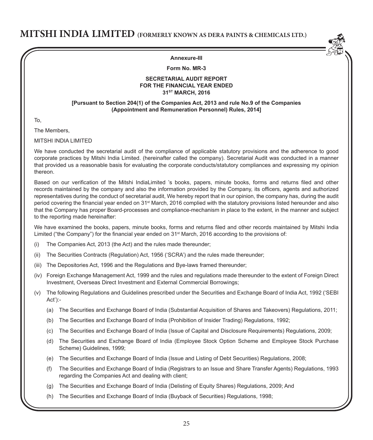

#### **Annexure-III**

### **Form No. MR-3**

#### **SECRETARIAL AUDIT REPORT FOR THE FINANCIAL YEAR ENDED 31ST MARCH, 2016**

#### **[Pursuant to Section 204(1) of the Companies Act, 2013 and rule No.9 of the Companies (Appointment and Remuneration Personnel) Rules, 2014]**

To,

The Members,

MITSHI INDIA LIMITED

We have conducted the secretarial audit of the compliance of applicable statutory provisions and the adherence to good corporate practices by Mitshi India Limited. (hereinafter called the company). Secretarial Audit was conducted in a manner that provided us a reasonable basis for evaluating the corporate conducts/statutory compliances and expressing my opinion thereon.

Based on our verification of the Mitshi IndiaLimited 's books, papers, minute books, forms and returns filed and other records maintained by the company and also the information provided by the Company, its officers, agents and authorized representatives during the conduct of secretarial audit, We hereby report that in our opinion, the company has, during the audit period covering the financial year ended on 31<sup>st</sup> March, 2016 complied with the statutory provisions listed hereunder and also that the Company has proper Board-processes and compliance-mechanism in place to the extent, in the manner and subject to the reporting made hereinafter:

We have examined the books, papers, minute books, forms and returns filed and other records maintained by Mitshi India Limited ("the Company") for the financial year ended on 31<sup>st</sup> March, 2016 according to the provisions of:

- (i) The Companies Act, 2013 (the Act) and the rules made thereunder;
- (ii) The Securities Contracts (Regulation) Act, 1956 ('SCRA') and the rules made thereunder;
- (iii) The Depositories Act, 1996 and the Regulations and Bye-laws framed thereunder;
- (iv) Foreign Exchange Management Act, 1999 and the rules and regulations made thereunder to the extent of Foreign Direct Investment, Overseas Direct Investment and External Commercial Borrowings;
- (v) The following Regulations and Guidelines prescribed under the Securities and Exchange Board of India Act, 1992 ('SEBI Act'):-
	- (a) The Securities and Exchange Board of India (Substantial Acquisition of Shares and Takeovers) Regulations, 2011;
	- (b) The Securities and Exchange Board of India (Prohibition of Insider Trading) Regulations, 1992;
	- (c) The Securities and Exchange Board of India (Issue of Capital and Disclosure Requirements) Regulations, 2009;
	- (d) The Securities and Exchange Board of India (Employee Stock Option Scheme and Employee Stock Purchase Scheme) Guidelines, 1999;
	- (e) The Securities and Exchange Board of India (Issue and Listing of Debt Securities) Regulations, 2008;
	- (f) The Securities and Exchange Board of India (Registrars to an Issue and Share Transfer Agents) Regulations, 1993 regarding the Companies Act and dealing with client;
	- (g) The Securities and Exchange Board of India (Delisting of Equity Shares) Regulations, 2009; And
	- (h) The Securities and Exchange Board of India (Buyback of Securities) Regulations, 1998;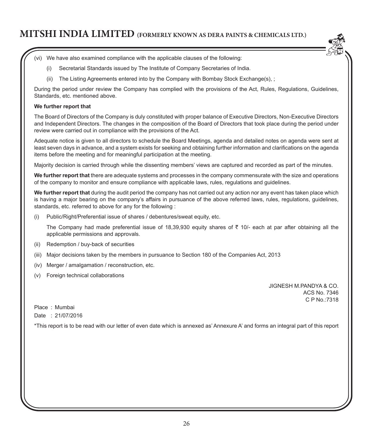- (vi) We have also examined compliance with the applicable clauses of the following:
	- (i) Secretarial Standards issued by The Institute of Company Secretaries of India.
	- (ii) The Listing Agreements entered into by the Company with Bombay Stock Exchange(s), ;

During the period under review the Company has complied with the provisions of the Act, Rules, Regulations, Guidelines, Standards, etc. mentioned above.

### **We further report that**

The Board of Directors of the Company is duly constituted with proper balance of Executive Directors, Non-Executive Directors and Independent Directors. The changes in the composition of the Board of Directors that took place during the period under review were carried out in compliance with the provisions of the Act.

Adequate notice is given to all directors to schedule the Board Meetings, agenda and detailed notes on agenda were sent at least seven days in advance, and a system exists for seeking and obtaining further information and clarifications on the agenda items before the meeting and for meaningful participation at the meeting.

Majority decision is carried through while the dissenting members' views are captured and recorded as part of the minutes.

**We further report that** there are adequate systems and processes in the company commensurate with the size and operations of the company to monitor and ensure compliance with applicable laws, rules, regulations and guidelines.

**We further report that** during the audit period the company has not carried out any action nor any event has taken place which is having a major bearing on the company's affairs in pursuance of the above referred laws, rules, regulations, guidelines, standards, etc. referred to above for any for the following :

Public/Right/Preferential issue of shares / debentures/sweat equity, etc.

The Company had made preferential issue of 18,39,930 equity shares of  $\bar{\tau}$  10/- each at par after obtaining all the applicable permissions and approvals.

- (ii) Redemption / buy-back of securities
- (iii) Major decisions taken by the members in pursuance to Section 180 of the Companies Act, 2013
- (iv) Merger / amalgamation / reconstruction, etc.
- (v) Foreign technical collaborations

JIGNESH M.PANDYA & CO. ACS No. 7346 C P No.:7318

Place : Mumbai Date : 21/07/2016

\*This report is to be read with our letter of even date which is annexed as' Annexure A' and forms an integral part of this report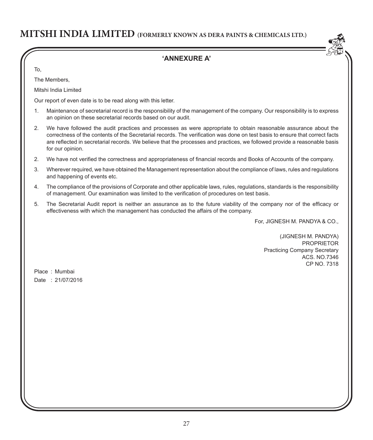## **'ANNEXURE A'**

To,

The Members,

Mitshi India Limited

Our report of even date is to be read along with this letter.

- 1. Maintenance of secretarial record is the responsibility of the management of the company. Our responsibility is to express an opinion on these secretarial records based on our audit.
- 2. We have followed the audit practices and processes as were appropriate to obtain reasonable assurance about the correctness of the contents of the Secretarial records. The verification was done on test basis to ensure that correct facts are reflected in secretarial records. We believe that the processes and practices, we followed provide a reasonable basis for our opinion.
- 2. We have not verified the correctness and appropriateness of financial records and Books of Accounts of the company.
- 3. Wherever required, we have obtained the Management representation about the compliance of laws, rules and regulations and happening of events etc.
- 4. The compliance of the provisions of Corporate and other applicable laws, rules, regulations, standards is the responsibility of management. Our examination was limited to the verification of procedures on test basis.
- 5. The Secretarial Audit report is neither an assurance as to the future viability of the company nor of the efficacy or effectiveness with which the management has conducted the affairs of the company.

For, JIGNESH M. PANDYA & CO.,

(JIGNESH M. PANDYA) PROPRIETOR Practicing Company Secretary ACS. NO.7346 CP NO. 7318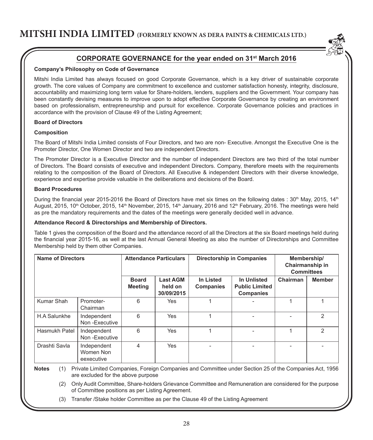

## **CORPORATE GOVERNANCE for the year ended on 31st March 2016**

#### **Company's Philosophy on Code of Governance**

Mitshi India Limited has always focused on good Corporate Governance, which is a key driver of sustainable corporate growth. The core values of Company are commitment to excellence and customer satisfaction honesty, integrity, disclosure, accountability and maximizing long term value for Share-holders, lenders, suppliers and the Government. Your company has been constantly devising measures to improve upon to adopt effective Corporate Governance by creating an environment based on professionalism, entrepreneurship and pursuit for excellence. Corporate Governance policies and practices in accordance with the provision of Clause 49 of the Listing Agreement;

### **Board of Directors**

#### **Composition**

The Board of Mitshi India Limited consists of Four Directors, and two are non- Executive. Amongst the Executive One is the Promoter Director, One Women Director and two are independent Directors.

The Promoter Director is a Executive Director and the number of independent Directors are two third of the total number of Directors. The Board consists of executive and independent Directors. Company, therefore meets with the requirements relating to the composition of the Board of Directors. All Executive & independent Directors with their diverse knowledge, experience and expertise provide valuable in the deliberations and decisions of the Board.

#### **Board Procedures**

During the financial year 2015-2016 the Board of Directors have met six times on the following dates :  $30^{th}$  May, 2015, 14<sup>th</sup> August, 2015, 10<sup>th</sup> October, 2015, 14<sup>th</sup> November, 2015, 14<sup>th</sup> January, 2016 and 12<sup>th</sup> February, 2016. The meetings were held as pre the mandatory requirements and the dates of the meetings were generally decided well in advance.

#### **Attendance Record & Directorships and Membership of Directors.**

Table 1 gives the composition of the Board and the attendance record of all the Directors at the six Board meetings held during the financial year 2015-16, as well at the last Annual General Meeting as also the number of Directorships and Committee Membership held by them other Companies.

| Name of Directors |                                        |                                | <b>Attendance Particulars</b>            |                        | Directorship in Companies                         |          | Membership/<br>Chairmanship in<br><b>Committees</b> |
|-------------------|----------------------------------------|--------------------------------|------------------------------------------|------------------------|---------------------------------------------------|----------|-----------------------------------------------------|
|                   |                                        | <b>Board</b><br><b>Meeting</b> | <b>Last AGM</b><br>held on<br>30/09/2015 | In Listed<br>Companies | In Unlisted<br><b>Public Limited</b><br>Companies | Chairman | <b>Member</b>                                       |
| Kumar Shah        | Promoter-<br>Chairman                  | 6                              | Yes                                      |                        |                                                   |          |                                                     |
| H.A Salunkhe      | Independent<br>Non-Executive           | 6                              | Yes                                      |                        |                                                   |          | $\mathcal{P}$                                       |
| Hasmukh Patel     | Independent<br>Non-Executive           | 6                              | Yes                                      |                        |                                                   |          | $\mathcal{P}$                                       |
| Drashti Savla     | Independent<br>Women Non<br>eexecutive | 4                              | Yes                                      |                        |                                                   |          |                                                     |

**Notes** (1) Private Limited Companies, Foreign Companies and Committee under Section 25 of the Companies Act, 1956 are excluded for the above purpose

 (2) Only Audit Committee, Share-holders Grievance Committee and Remuneration are considered for the purpose of Committee positions as per Listing Agreement.

(3) Transfer /Stake holder Committee as per the Clause 49 of the Listing Agreement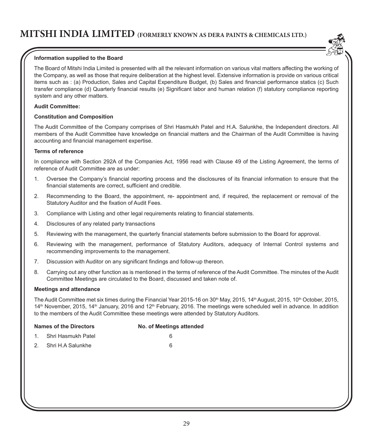### **Information supplied to the Board**

The Board of Mitshi India Limited is presented with all the relevant information on various vital matters affecting the working of the Company, as well as those that require deliberation at the highest level. Extensive information is provide on various critical items such as : (a) Production, Sales and Capital Expenditure Budget, (b) Sales and financial performance statics (c) Such transfer compliance (d) Quarterly financial results (e) Significant labor and human relation (f) statutory compliance reporting system and any other matters.

#### **Audit Committee:**

#### **Constitution and Composition**

The Audit Committee of the Company comprises of Shri Hasmukh Patel and H.A. Salunkhe, the Independent directors. All members of the Audit Committee have knowledge on financial matters and the Chairman of the Audit Committee is having accounting and financial management expertise.

#### **Terms of reference**

In compliance with Section 292A of the Companies Act, 1956 read with Clause 49 of the Listing Agreement, the terms of reference of Audit Committee are as under:

- 1. Oversee the Company's financial reporting process and the disclosures of its financial information to ensure that the financial statements are correct, sufficient and credible.
- 2. Recommending to the Board, the appointment, re- appointment and, if required, the replacement or removal of the Statutory Auditor and the fixation of Audit Fees.
- 3. Compliance with Listing and other legal requirements relating to financial statements.
- 4. Disclosures of any related party transactions
- 5. Reviewing with the management, the quarterly financial statements before submission to the Board for approval.
- 6. Reviewing with the management, performance of Statutory Auditors, adequacy of Internal Control systems and recommending improvements to the management.
- 7. Discussion with Auditor on any significant findings and follow-up thereon.
- 8. Carrying out any other function as is mentioned in the terms of reference of the Audit Committee. The minutes of the Audit Committee Meetings are circulated to the Board, discussed and taken note of.

#### **Meetings and attendance**

The Audit Committee met six times during the Financial Year 2015-16 on 30<sup>th</sup> May, 2015, 14<sup>th</sup> August, 2015, 10<sup>th</sup> October, 2015, 14<sup>th</sup> November, 2015, 14<sup>th</sup> January, 2016 and 12<sup>th</sup> February, 2016. The meetings were scheduled well in advance. In addition to the members of the Audit Committee these meetings were attended by Statutory Auditors.

|    | <b>Names of the Directors</b> | No. of Meetings attended |
|----|-------------------------------|--------------------------|
|    | 1. Shri Hasmukh Patel         |                          |
| 2. | Shri H.A Salunkhe             | 6                        |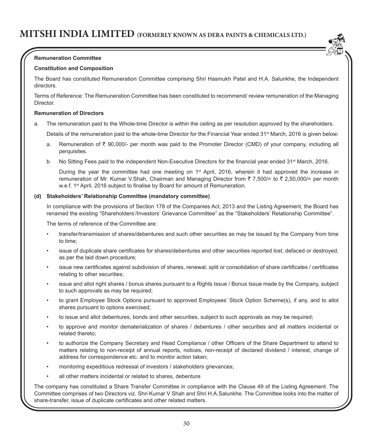

### **Remuneration Committee**

#### **Constitution and Composition**

The Board has constituted Remuneration Committee comprising Shri Hasmukh Patel and H.A. Salunkhe, the Independent directors.

Terms of Reference: The Remuneration Committee has been constituted to recommend/ review remuneration of the Managing Director.

### **Remuneration of Directors**

a. The remuneration paid to the Whole-time Director is within the ceiling as per resolution approved by the shareholders.

Details of the remuneration paid to the whole-time Director for the Financial Year ended 31<sup>st</sup> March, 2016 is given below:

- a. Remuneration of  $\bar{\tau}$  90,000/- per month was paid to the Promoter Director (CMD) of your company, including all perquisites.
- b. No Sitting Fees paid to the independent Non-Executive Directors for the financial year ended 31<sup>st</sup> March, 2016.

During the year the committee had one meeting on 1<sup>st</sup> April, 2016, wherein it had approved the increase in remuneration of Mr. Kumar V.Shah, Chairman and Managing Director from  $\bar{z}$  7,500/= to  $\bar{z}$  2,50,000/= per month w.e.f. 1<sup>st</sup> April, 2016 subject to finalise by Board for amount of Remuneration.

#### **(d) Stakeholders' Relationship Committee (mandatory committee)**

In compliance with the provisions of Section 178 of the Companies Act, 2013 and the Listing Agreement, the Board has renamed the existing "Shareholders'/Investors' Grievance Committee" as the "Stakeholders' Relationship Committee".

The terms of reference of the Committee are:

- transfer/transmission of shares/debentures and such other securities as may be issued by the Company from time to time;
- issue of duplicate share certificates for shares/debentures and other securities reported lost, defaced or destroyed, as per the laid down procedure;
- issue new certificates against subdivision of shares, renewal, split or consolidation of share certificates / certificates relating to other securities;
- issue and allot right shares / bonus shares pursuant to a Rights Issue / Bonus Issue made by the Company, subject to such approvals as may be required;
- to grant Employee Stock Options pursuant to approved Employees' Stock Option Scheme(s), if any, and to allot shares pursuant to options exercised;
- to issue and allot debentures, bonds and other securities, subject to such approvals as may be required;
- to approve and monitor dematerialization of shares / debentures / other securities and all matters incidental or related thereto;
- to authorize the Company Secretary and Head Compliance / other Officers of the Share Department to attend to matters relating to non-receipt of annual reports, notices, non-receipt of declared dividend / interest, change of address for correspondence etc. and to monitor action taken;
- monitoring expeditious redressal of investors / stakeholders grievances;
- all other matters incidental or related to shares, debenture

The company has constituted a Share Transfer Committee in compliance with the Clause 49 of the Listing Agreement. The Committee comprises of two Directors viz. Shri Kumar V Shah and Shri H.A.Salunkhe. The Committee looks into the matter of share-transfer, issue of duplicate certificates and other related matters.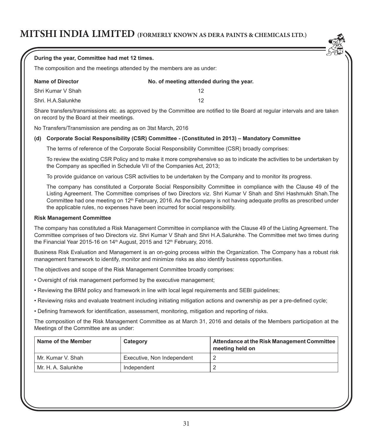|     | During the year, Committee had met 12 times.                 |                                                                                                       |                                                                                                                                                                                                                                                                                                                                                                     |
|-----|--------------------------------------------------------------|-------------------------------------------------------------------------------------------------------|---------------------------------------------------------------------------------------------------------------------------------------------------------------------------------------------------------------------------------------------------------------------------------------------------------------------------------------------------------------------|
|     |                                                              | The composition and the meetings attended by the members are as under:                                |                                                                                                                                                                                                                                                                                                                                                                     |
|     | <b>Name of Director</b>                                      | No. of meeting attended during the year.                                                              |                                                                                                                                                                                                                                                                                                                                                                     |
|     | Shri Kumar V Shah                                            | 12                                                                                                    |                                                                                                                                                                                                                                                                                                                                                                     |
|     | Shri, H.A.Salunkhe                                           | 12                                                                                                    |                                                                                                                                                                                                                                                                                                                                                                     |
|     | on record by the Board at their meetings.                    |                                                                                                       | Share transfers/transmissions etc. as approved by the Committee are notified to tile Board at regular intervals and are taken                                                                                                                                                                                                                                       |
|     | No Transfers/Transmission are pending as on 3tst March, 2016 |                                                                                                       |                                                                                                                                                                                                                                                                                                                                                                     |
| (d) |                                                              |                                                                                                       | Corporate Social Responsibility (CSR) Committee - (Constituted in 2013) - Mandatory Committee                                                                                                                                                                                                                                                                       |
|     |                                                              |                                                                                                       | The terms of reference of the Corporate Social Responsibility Committee (CSR) broadly comprises:                                                                                                                                                                                                                                                                    |
|     |                                                              | the Company as specified in Schedule VII of the Companies Act, 2013;                                  | To review the existing CSR Policy and to make it more comprehensive so as to indicate the activities to be undertaken by                                                                                                                                                                                                                                            |
|     |                                                              |                                                                                                       | To provide guidance on various CSR activities to be undertaken by the Company and to monitor its progress.                                                                                                                                                                                                                                                          |
|     |                                                              | the applicable rules, no expenses have been incurred for social responsibility.                       | The company has constituted a Corporate Social Responsibilty Committee in compliance with the Clause 49 of the<br>Listing Agreement. The Committee comprises of two Directors viz. Shri Kumar V Shah and Shri Hashmukh Shah. The<br>Committee had one meeting on 12 <sup>th</sup> February, 2016. As the Company is not having adequate profits as prescribed under |
|     | <b>Risk Management Committee</b>                             |                                                                                                       |                                                                                                                                                                                                                                                                                                                                                                     |
|     |                                                              | the Financial Year 2015-16 on 14 <sup>th</sup> August, 2015 and 12 <sup>th</sup> February, 2016.      | The company has constituted a Risk Management Committee in compliance with the Clause 49 of the Listing Agreement. The<br>Committee comprises of two Directors viz. Shri Kumar V Shah and Shri H.A.Salunkhe. The Committee met two times during                                                                                                                     |
|     |                                                              | management framework to identify, monitor and minimize risks as also identify business opportunities. | Business Risk Evaluation and Management is an on-going process within the Organization. The Company has a robust risk                                                                                                                                                                                                                                               |
|     |                                                              | The objectives and scope of the Risk Management Committee broadly comprises:                          |                                                                                                                                                                                                                                                                                                                                                                     |
|     |                                                              | . Oversight of risk management performed by the executive management;                                 |                                                                                                                                                                                                                                                                                                                                                                     |
|     |                                                              | • Reviewing the BRM policy and framework in line with local legal requirements and SEBI guidelines;   |                                                                                                                                                                                                                                                                                                                                                                     |
|     |                                                              |                                                                                                       | • Reviewing risks and evaluate treatment including initiating mitigation actions and ownership as per a pre-defined cycle;                                                                                                                                                                                                                                          |
|     |                                                              | . Defining framework for identification, assessment, monitoring, mitigation and reporting of risks.   |                                                                                                                                                                                                                                                                                                                                                                     |
|     | Meetings of the Committee are as under:                      |                                                                                                       | The composition of the Risk Management Committee as at March 31, 2016 and details of the Members participation at the                                                                                                                                                                                                                                               |
|     | Name of the Member                                           | Category                                                                                              | Attendance at the Risk Management Committee<br>meeting held on                                                                                                                                                                                                                                                                                                      |
|     | Mr. Kumar V. Shah                                            | Executive, Non Independent                                                                            | $\overline{c}$                                                                                                                                                                                                                                                                                                                                                      |
|     | Mr. H. A. Salunkhe                                           | Independent                                                                                           | $\mathbf 2$                                                                                                                                                                                                                                                                                                                                                         |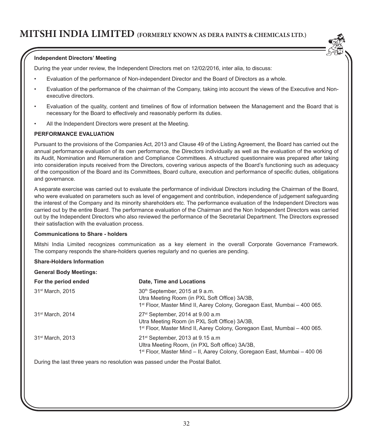#### **Independent Directors' Meeting**

During the year under review, the Independent Directors met on 12/02/2016, inter alia, to discuss:

- Evaluation of the performance of Non-independent Director and the Board of Directors as a whole.
- Evaluation of the performance of the chairman of the Company, taking into account the views of the Executive and Nonexecutive directors.
- Evaluation of the quality, content and timelines of flow of information between the Management and the Board that is necessary for the Board to effectively and reasonably perform its duties.
- All the Independent Directors were present at the Meeting.

#### **PERFORMANCE EVALUATION**

Pursuant to the provisions of the Companies Act, 2013 and Clause 49 of the Listing Agreement, the Board has carried out the annual performance evaluation of its own performance, the Directors individually as well as the evaluation of the working of its Audit, Nomination and Remuneration and Compliance Committees. A structured questionnaire was prepared after taking into consideration inputs received from the Directors, covering various aspects of the Board's functioning such as adequacy of the composition of the Board and its Committees, Board culture, execution and performance of specific duties, obligations and governance.

A separate exercise was carried out to evaluate the performance of individual Directors including the Chairman of the Board, who were evaluated on parameters such as level of engagement and contribution, independence of judgement safeguarding the interest of the Company and its minority shareholders etc. The performance evaluation of the Independent Directors was carried out by the entire Board. The performance evaluation of the Chairman and the Non Independent Directors was carried out by the Independent Directors who also reviewed the performance of the Secretarial Department. The Directors expressed their satisfaction with the evaluation process.

#### **Communications to Share - holders**

Mitshi India Limited recognizes communication as a key element in the overall Corporate Governance Framework. The company responds the share-holders queries regularly and no queries are pending.

#### **Share-Holders Information**

| <b>General Body Meetings:</b> |                                                                                                                                                                                      |
|-------------------------------|--------------------------------------------------------------------------------------------------------------------------------------------------------------------------------------|
| For the period ended          | Date, Time and Locations                                                                                                                                                             |
| 31 <sup>st</sup> March, 2015  | 30 <sup>th</sup> September, 2015 at 9 a.m.<br>Utra Meeting Room (in PXL Soft Office) 3A/3B,<br>1 <sup>st</sup> Floor, Master Mind II, Aarey Colony, Goregaon East, Mumbai – 400 065. |
| 31 <sup>st</sup> March, 2014  | $27st$ September, 2014 at 9.00 a.m<br>Utra Meeting Room (in PXL Soft Office) 3A/3B,<br>1 <sup>st</sup> Floor, Master Mind II, Aarey Colony, Goregaon East, Mumbai – 400 065.         |
| 31 <sup>st</sup> March, 2013  | $21st$ September, 2013 at 9.15 a.m<br>Ultra Meeting Room, (in PXL Soft office) 3A/3B,<br>1 <sup>st</sup> Floor, Master Mind – II, Aarey Colony, Goregaon East, Mumbai – 400 06       |

During the last three years no resolution was passed under the Postal Ballot.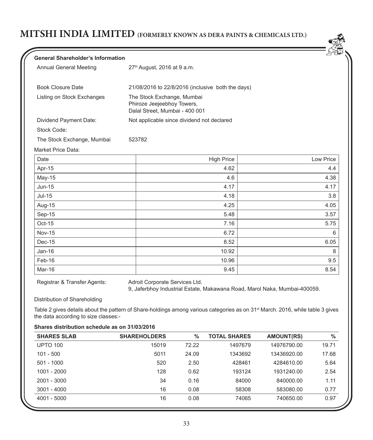| <b>General Shareholder's Information</b> |                                                                                            | لفلكل     |
|------------------------------------------|--------------------------------------------------------------------------------------------|-----------|
| Annual General Meeting                   | 27 <sup>th</sup> August, 2016 at 9 a.m.                                                    |           |
| <b>Book Closure Date</b>                 | 21/08/2016 to 22/8/2016 (inclusive both the days)                                          |           |
| Listing on Stock Exchanges               | The Stock Exchange, Mumbai<br>Phiroze Jeejeebhoy Towers,<br>Dalal Street, Mumbai - 400 001 |           |
| Dividend Payment Date:                   | Not applicable since dividend not declared                                                 |           |
| Stock Code:                              |                                                                                            |           |
| The Stock Exchange, Mumbai               | 523782                                                                                     |           |
| Market Price Data:                       |                                                                                            |           |
| Date                                     | <b>High Price</b>                                                                          | Low Price |
| Apr-15                                   | 4.62                                                                                       | 4.4       |
| May-15                                   | 4.6                                                                                        | 4.38      |
| $Jun-15$                                 | 4.17                                                                                       | 4.17      |
| $Jul-15$                                 | 4.18                                                                                       | 3.8       |
| Aug-15                                   | 4.25                                                                                       | 4.05      |
| Sep-15                                   | 5.48                                                                                       | 3.57      |
| $Oct-15$                                 | 7.16                                                                                       | 5.75      |
| <b>Nov-15</b>                            | 6.72                                                                                       | 6         |
| Dec-15                                   | 8.52                                                                                       | 6.05      |

Feb-16 10.96 9.5 Mar-16 9.45 8.54

Registrar & Transfer Agents: Adroit Corporate Services Ltd.

9, Jaferbhoy Industrial Estate, Makawana Road, Marol Naka, Mumbai-400059.

Distribution of Shareholding

Table 2 gives details about the pattern of Share-holdings among various categories as on 31<sup>st</sup> March. 2016, while table 3 gives the data according to size classes:-

Jan-16 10.92 8

|  |  | Shares distribution schedule as on 31/03/2016 |  |  |  |
|--|--|-----------------------------------------------|--|--|--|
|--|--|-----------------------------------------------|--|--|--|

| <b>SHARES SLAB</b> | <b>SHAREHOLDERS</b> | $\%$  | <b>TOTAL SHARES</b> | <b>AMOUNT(RS)</b> | $\frac{0}{0}$ |
|--------------------|---------------------|-------|---------------------|-------------------|---------------|
| <b>UPTO 100</b>    | 15019               | 72.22 | 1497679             | 14976790.00       | 19.71         |
| $101 - 500$        | 5011                | 24.09 | 1343692             | 13436920.00       | 17.68         |
| $501 - 1000$       | 520                 | 2.50  | 428461              | 4284610.00        | 5.64          |
| 1001 - 2000        | 128                 | 0.62  | 193124              | 1931240.00        | 2.54          |
| 2001 - 3000        | 34                  | 0.16  | 84000               | 840000.00         | 1.11          |
| 3001 - 4000        | 16                  | 0.08  | 58308               | 583080.00         | 0.77          |
| 4001 - 5000        | 16                  | 0.08  | 74065               | 740650.00         | 0.97          |
|                    |                     |       |                     |                   |               |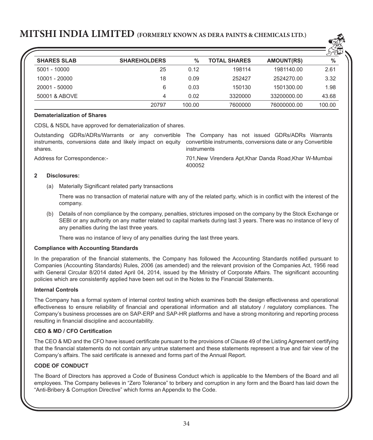

|                    |                     |               |                     |                   | لمفلكهل       |
|--------------------|---------------------|---------------|---------------------|-------------------|---------------|
| <b>SHARES SLAB</b> | <b>SHAREHOLDERS</b> | $\frac{0}{0}$ | <b>TOTAL SHARES</b> | <b>AMOUNT(RS)</b> | $\frac{0}{0}$ |
| $5001 - 10000$     | 25                  | 0.12          | 198114              | 1981140.00        | 2.61          |
| 10001 - 20000      | 18                  | 0.09          | 252427              | 2524270.00        | 3.32          |
| 20001 - 50000      | 6                   | 0.03          | 150130              | 1501300.00        | 1.98          |
| 50001 & ABOVE      | 4                   | 0.02          | 3320000             | 33200000.00       | 43.68         |
|                    | 20797               | 100.00        | 7600000             | 76000000.00       | 100.00        |

### **Dematerialization of Shares**

CDSL & NSDL have approved for dematerialization of shares.

Outstanding GDRs/ADRs/Warrants or any convertible The Company has not issued GDRs/ADRs Warrants instruments, conversions date and likely impact on equity convertible instruments, conversions date or any Convertible shares.

instruments

Address for Correspondence:- 701,New Virendera Apt,Khar Danda Road,Khar W-Mumbai 400052

#### **2 Disclosures:**

(a) Materially Significant related party transactions

There was no transaction of material nature with any of the related party, which is in conflict with the interest of the company.

(b) Details of non compliance by the company, penalties, strictures imposed on the company by the Stock Exchange or SEBI or any authority on any matter related to capital markets during last 3 years. There was no instance of levy of any penalties during the last three years.

There was no instance of levy of any penalties during the last three years.

#### **Compliance with Accounting Standards**

In the preparation of the financial statements, the Company has followed the Accounting Standards notified pursuant to Companies (Accounting Standards) Rules, 2006 (as amended) and the relevant provision of the Companies Act, 1956 read with General Circular 8/2014 dated April 04, 2014, issued by the Ministry of Corporate Affairs. The significant accounting policies which are consistently applied have been set out in the Notes to the Financial Statements.

#### **Internal Controls**

The Company has a formal system of internal control testing which examines both the design effectiveness and operational effectiveness to ensure reliability of financial and operational information and all statutory / regulatory compliances. The Company's business processes are on SAP-ERP and SAP-HR platforms and have a strong monitoring and reporting process resulting in financial discipline and accountability.

### **CEO & MD / CFO Certification**

The CEO & MD and the CFO have issued certificate pursuant to the provisions of Clause 49 of the Listing Agreement certifying that the financial statements do not contain any untrue statement and these statements represent a true and fair view of the Company's affairs. The said certificate is annexed and forms part of the Annual Report.

### **CODE OF CONDUCT**

The Board of Directors has approved a Code of Business Conduct which is applicable to the Members of the Board and all employees. The Company believes in "Zero Tolerance" to bribery and corruption in any form and the Board has laid down the "Anti-Bribery & Corruption Directive" which forms an Appendix to the Code.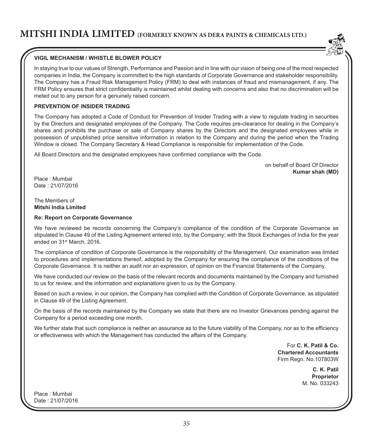

## **VIGIL MECHANISM / WHISTLE BLOWER POLICY**

In staying true to our values of Strength, Performance and Passion and in line with our vision of being one of the most respected companies in India, the Company is committed to the high standards of Corporate Governance and stakeholder responsibility. The Company has a Fraud Risk Management Policy (FRM) to deal with instances of fraud and mismanagement, if any. The FRM Policy ensures that strict confidentiality is maintained whilst dealing with concerns and also that no discrimination will be meted out to any person for a genuinely raised concern.

## **PREVENTION OF INSIDER TRADING**

The Company has adopted a Code of Conduct for Prevention of Insider Trading with a view to regulate trading in securities by the Directors and designated employees of the Company. The Code requires pre-clearance for dealing in the Company's shares and prohibits the purchase or sale of Company shares by the Directors and the designated employees while in possession of unpublished price sensitive information in relation to the Company and during the period when the Trading Window is closed. The Company Secretary & Head Compliance is responsible for implementation of the Code.

All Board Directors and the designated employees have confirmed compliance with the Code.

on behalf of Board Of Director **Kumar shah (MD)**

Place : Mumbai Date : 21/07/2016

#### The Members of **Mitshi India Limited**

#### **Re: Report on Corporate Governance**

We have reviewed be records concerning the Company's compliance of the condition of the Corporate Governance as stipulated In Clause 49 of the Listing Agreement entered into, by the Company; with the Stock Exchanges of India for the year ended on 31st March, 2016.

The compliance of condition of Corporate Governance is the responsibility of the Management. Our examination was limited to procedures and implementations thereof, adopted by the Company for ensuring the compliance of the conditions of the Corporate Governance. It is neither an audit nor an expression, of opinion on the Financial Statements of the Company.

We have conducted our review on the basis of the relevant records and documents maintained by the Company and furnished to us for review, and the information and explanations given to us by the Company.

Based on such a review, in our opinion, the Company has complied with the Condition of Corporate Governance, as stipulated in Clause 49 of the Listing Agreement.

On the basis of the records maintained by the Company we state that there are no Investor Grievances pending against the Company for a period exceeding one month.

We further state that such compliance is neither an assurance as to the future viability of the Company, nor as to the efficiency or effectiveness with which the Management has conducted the affairs of the Company.

> For **C. K. Patil & Co. Chartered Accountants** Firm Regn. No.107803W

> > **C. K. Patil Proprietor** M. No. 033243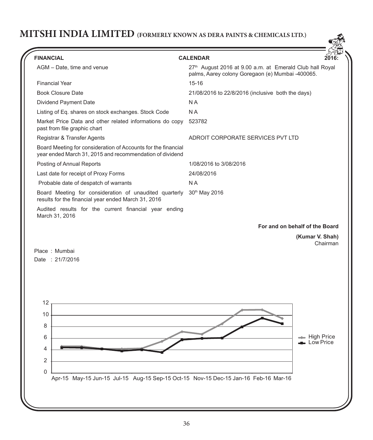

| <b>FINANCIAL</b>                                                                                                          | <b>CALENDAR</b>                                                                                              |                           |
|---------------------------------------------------------------------------------------------------------------------------|--------------------------------------------------------------------------------------------------------------|---------------------------|
| AGM - Date, time and venue                                                                                                | 27th August 2016 at 9.00 a.m. at Emerald Club hall Royal<br>palms, Aarey colony Goregaon (e) Mumbai -400065. |                           |
| <b>Financial Year</b>                                                                                                     | $15 - 16$                                                                                                    |                           |
| <b>Book Closure Date</b>                                                                                                  | 21/08/2016 to 22/8/2016 (inclusive both the days)                                                            |                           |
| Dividend Payment Date                                                                                                     | N <sub>A</sub>                                                                                               |                           |
| Listing of Eq. shares on stock exchanges. Stock Code                                                                      | N A                                                                                                          |                           |
| Market Price Data and other related informations do copy<br>past from file graphic chart                                  | 523782                                                                                                       |                           |
| Registrar & Transfer Agents                                                                                               | ADROIT CORPORATE SERVICES PVT LTD                                                                            |                           |
| Board Meeting for consideration of Accounts for the financial<br>year ended March 31, 2015 and recommendation of dividend |                                                                                                              |                           |
| Posting of Annual Reports                                                                                                 | 1/08/2016 to 3/08/2016                                                                                       |                           |
| Last date for receipt of Proxy Forms                                                                                      | 24/08/2016                                                                                                   |                           |
| Probable date of despatch of warrants                                                                                     | N A                                                                                                          |                           |
| Board Meeting for consideration of unaudited quarterly<br>results for the financial year ended March 31, 2016             | 30th May 2016                                                                                                |                           |
| Audited results for the current financial year ending<br>March 31, 2016                                                   |                                                                                                              |                           |
|                                                                                                                           | For and on behalf of the Board                                                                               |                           |
|                                                                                                                           | (Kumar V. Shah)                                                                                              | Chairman                  |
| Place: Mumbai                                                                                                             |                                                                                                              |                           |
| Date: 21/7/2016                                                                                                           |                                                                                                              |                           |
|                                                                                                                           |                                                                                                              |                           |
|                                                                                                                           |                                                                                                              |                           |
|                                                                                                                           |                                                                                                              |                           |
| 12                                                                                                                        |                                                                                                              |                           |
| 10                                                                                                                        |                                                                                                              |                           |
|                                                                                                                           |                                                                                                              |                           |
| 8                                                                                                                         |                                                                                                              |                           |
| 6                                                                                                                         |                                                                                                              | ∍ High Price<br>Low Price |
| 4                                                                                                                         |                                                                                                              |                           |
| $\overline{2}$                                                                                                            |                                                                                                              |                           |
|                                                                                                                           |                                                                                                              |                           |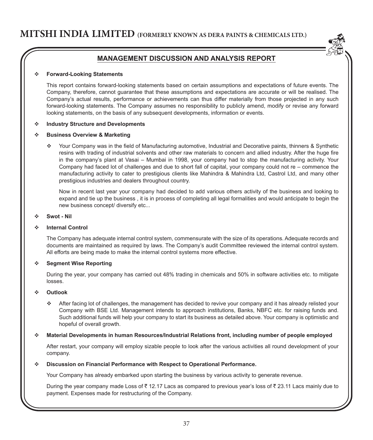

#### **Forward-Looking Statements**

This report contains forward-looking statements based on certain assumptions and expectations of future events. The Company, therefore, cannot guarantee that these assumptions and expectations are accurate or will be realised. The Company's actual results, performance or achievements can thus differ materially from those projected in any such forward-looking statements. The Company assumes no responsibility to publicly amend, modify or revise any forward looking statements, on the basis of any subsequent developments, information or events.

#### **Industry Structure and Developments**

#### **Business Overview & Marketing**

 Your Company was in the field of Manufacturing automotive, Industrial and Decorative paints, thinners & Synthetic resins with trading of industrial solvents and other raw materials to concern and allied industry. After the huge fire in the company's plant at Vasai – Mumbai in 1998, your company had to stop the manufacturing activity. Your Company had faced lot of challenges and due to short fall of capital, your company could not re – commence the manufacturing activity to cater to prestigious clients like Mahindra & Mahindra Ltd, Castrol Ltd, and many other prestigious industries and dealers throughout country.

 Now in recent last year your company had decided to add various others activity of the business and looking to expand and tie up the business , it is in process of completing all legal formalities and would anticipate to begin the new business concept/ diversify etc...

**Swot - Nil**

#### **Internal Control**

The Company has adequate internal control system, commensurate with the size of its operations. Adequate records and documents are maintained as required by laws. The Company's audit Committee reviewed the internal control system. All efforts are being made to make the internal control systems more effective.

#### **Segment Wise Reporting**

During the year, your company has carried out 48% trading in chemicals and 50% in software activities etc. to mitigate losses.

#### **Outlook**

 After facing lot of challenges, the management has decided to revive your company and it has already relisted your Company with BSE Ltd. Management intends to approach institutions, Banks, NBFC etc. for raising funds and. Such additional funds will help your company to start its business as detailed above. Your company is optimistic and hopeful of overall growth.

#### **Material Developments in human Resources/Industrial Relations front, including number of people employed**

After restart, your company will employ sizable people to look after the various activities all round development of your company.

#### **Discussion on Financial Performance with Respect to Operational Performance.**

Your Company has already embarked upon starting the business by various activity to generate revenue.

During the year company made Loss of  $\bar{z}$  12.17 Lacs as compared to previous year's loss of  $\bar{z}$  23.11 Lacs mainly due to payment. Expenses made for restructuring of the company.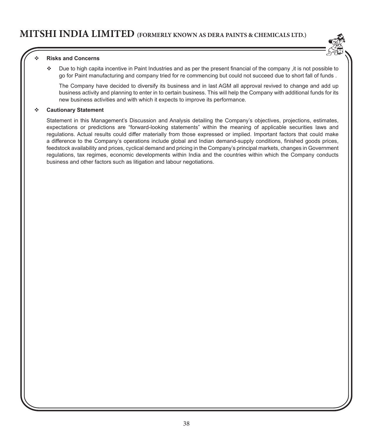

#### **Risks and Concerns**

 Due to high capita incentive in Paint Industries and as per the present financial of the company ,it is not possible to go for Paint manufacturing and company tried for re commencing but could not succeed due to short fall of funds .

 The Company have decided to diversify its business and in last AGM all approval revived to change and add up business activity and planning to enter in to certain business. This will help the Company with additional funds for its new business activities and with which it expects to improve its performance.

#### **Cautionary Statement**

Statement in this Management's Discussion and Analysis detailing the Company's objectives, projections, estimates, expectations or predictions are "forward-looking statements" within the meaning of applicable securities laws and regulations. Actual results could differ materially from those expressed or implied. Important factors that could make a difference to the Company's operations include global and Indian demand-supply conditions, finished goods prices, feedstock availability and prices, cyclical demand and pricing in the Company's principal markets, changes in Government regulations, tax regimes, economic developments within India and the countries within which the Company conducts business and other factors such as litigation and labour negotiations.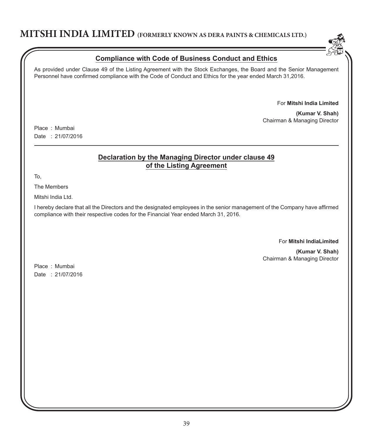

## **Compliance with Code of Business Conduct and Ethics**

As provided under Clause 49 of the Listing Agreement with the Stock Exchanges, the Board and the Senior Management Personnel have confirmed compliance with the Code of Conduct and Ethics for the year ended March 31,2016.

For **Mitshi India Limited**

**(Kumar V. Shah)** Chairman & Managing Director

Place : Mumbai Date : 21/07/2016

## **Declaration by the Managing Director under clause 49 of the Listing Agreement**

To,

The Members

Mitshi India Ltd.

I hereby declare that all the Directors and the designated employees in the senior management of the Company have affirmed compliance with their respective codes for the Financial Year ended March 31, 2016.

### For **Mitshi IndiaLimited**

**(Kumar V. Shah)** Chairman & Managing Director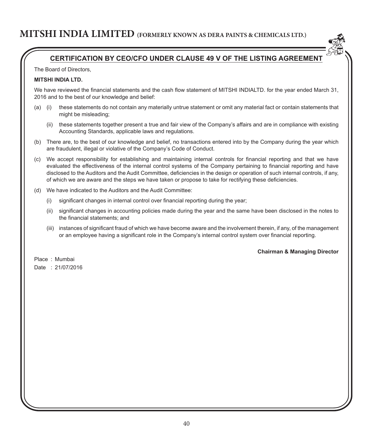

## **CERTIFICATION BY CEO/CFO UNDER CLAUSE 49 V OF THE LISTING AGREEMENT**

The Board of Directors,

### **MITSHI INDIA LTD.**

We have reviewed the financial statements and the cash flow statement of MITSHI INDIALTD, for the year ended March 31, 2016 and to the best of our knowledge and belief:

- (a) (i) these statements do not contain any materially untrue statement or omit any material fact or contain statements that might be misleading;
	- (ii) these statements together present a true and fair view of the Company's affairs and are in compliance with existing Accounting Standards, applicable laws and regulations.
- (b) There are, to the best of our knowledge and belief, no transactions entered into by the Company during the year which are fraudulent, illegal or violative of the Company's Code of Conduct.
- (c) We accept responsibility for establishing and maintaining internal controls for financial reporting and that we have evaluated the effectiveness of the internal control systems of the Company pertaining to financial reporting and have disclosed to the Auditors and the Audit Committee, deficiencies in the design or operation of such internal controls, if any, of which we are aware and the steps we have taken or propose to take for rectifying these deficiencies.
- (d) We have indicated to the Auditors and the Audit Committee:
	- (i) significant changes in internal control over financial reporting during the year;
	- (ii) significant changes in accounting policies made during the year and the same have been disclosed in the notes to the financial statements; and
	- (iii) instances of significant fraud of which we have become aware and the involvement therein, if any, of the management or an employee having a significant role in the Company's internal control system over financial reporting.

### **Chairman & Managing Director**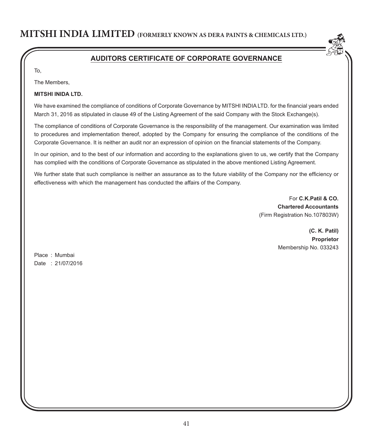

## **AUDITORS CERTIFICATE OF CORPORATE GOVERNANCE**

To,

The Members,

### **MITSHI INIDA LTD.**

We have examined the compliance of conditions of Corporate Governance by MITSHI INDIA LTD. for the financial years ended March 31, 2016 as stipulated in clause 49 of the Listing Agreement of the said Company with the Stock Exchange(s).

The compliance of conditions of Corporate Governance is the responsibility of the management. Our examination was limited to procedures and implementation thereof, adopted by the Company for ensuring the compliance of the conditions of the Corporate Governance. It is neither an audit nor an expression of opinion on the financial statements of the Company.

In our opinion, and to the best of our information and according to the explanations given to us, we certify that the Company has complied with the conditions of Corporate Governance as stipulated in the above mentioned Listing Agreement.

We further state that such compliance is neither an assurance as to the future viability of the Company nor the efficiency or effectiveness with which the management has conducted the affairs of the Company.

> For **C.K.Patil & CO. Chartered Accountants** (Firm Registration No.107803W)

> > **(C. K. Patil) Proprietor** Membership No. 033243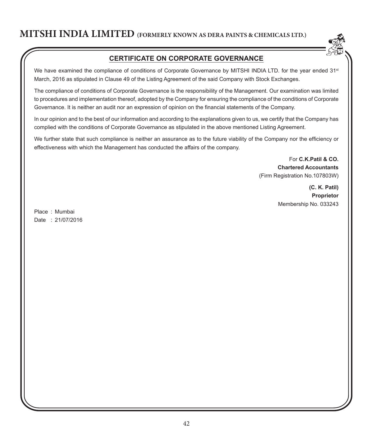

## **CERTIFICATE ON CORPORATE GOVERNANCE**

We have examined the compliance of conditions of Corporate Governance by MITSHI INDIA LTD. for the year ended 31<sup>st</sup> March, 2016 as stipulated in Clause 49 of the Listing Agreement of the said Company with Stock Exchanges.

The compliance of conditions of Corporate Governance is the responsibility of the Management. Our examination was limited to procedures and implementation thereof, adopted by the Company for ensuring the compliance of the conditions of Corporate Governance. It is neither an audit nor an expression of opinion on the financial statements of the Company.

In our opinion and to the best of our information and according to the explanations given to us, we certify that the Company has complied with the conditions of Corporate Governance as stipulated in the above mentioned Listing Agreement.

We further state that such compliance is neither an assurance as to the future viability of the Company nor the efficiency or effectiveness with which the Management has conducted the affairs of the company.

> For **C.K.Patil & CO. Chartered Accountants** (Firm Registration No.107803W)

> > **(C. K. Patil) Proprietor** Membership No. 033243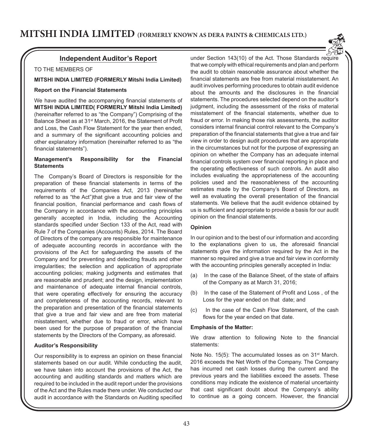

TO THE MEMBERS OF

### **MITSHI INDIA LIMITED (FORMERLY Mitshi India Limited)**

#### **Report on the Financial Statements**

We have audited the accompanying financial statements of **MITSHI INDIA LIMITED( FORMERLY Mitshi India Limited)** (hereinafter referred to as "the Company") Comprising of the Balance Sheet as at 31st March, 2016, the Statement of Profit and Loss, the Cash Flow Statement for the year then ended, and a summary of the significant accounting policies and other explanatory information (hereinafter referred to as "the financial statements").

#### **Management's Responsibility for the Financial Statements**

The Company's Board of Directors is responsible for the preparation of these financial statements in terms of the requirements of the Companies Act, 2013 (hereinafter referred to as "the Act")that give a true and fair view of the financial position, financial performance and cash flows of the Company in accordance with the accounting principles generally accepted in India, including the Accounting standards specified under Section 133 of the Act, read with Rule 7 of the Companies (Accounts) Rules, 2014. The Board of Directors of the company are responsible for maintenance of adequate accounting records in accordance with the provisions of the Act for safeguarding the assets of the Company and for preventing and detecting frauds and other irregularities; the selection and application of appropriate accounting policies; making judgments and estimates that are reasonable and prudent; and the design, implementation and maintenance of adequate internal financial controls, that were operating effectively for ensuring the accuracy and completeness of the accounting records, relevant to the preparation and presentation of the financial statements that give a true and fair view and are free from material misstatement, whether due to fraud or error, which have been used for the purpose of preparation of the financial statements by the Directors of the Company, as aforesaid.

#### **Auditor's Responsibility**

Our responsibility is to express an opinion on these financial statements based on our audit. While conducting the audit, we have taken into account the provisions of the Act, the accounting and auditing standards and matters which are required to be included in the audit report under the provisions of the Act and the Rules made there under. We conducted our audit in accordance with the Standards on Auditing specified under Section 143(10) of the Act. Those Standards require that we comply with ethical requirements and plan and perform the audit to obtain reasonable assurance about whether the financial statements are free from material misstatement. An audit involves performing procedures to obtain audit evidence about the amounts and the disclosures in the financial statements. The procedures selected depend on the auditor's judgment, including the assessment of the risks of material misstatement of the financial statements, whether due to fraud or error. In making those risk assessments, the auditor considers internal financial control relevant to the Company's preparation of the financial statements that give a true and fair view in order to design audit procedures that are appropriate in the circumstances but not for the purpose of expressing an opinion on whether the Company has an adequate internal financial controls system over financial reporting in place and the operating effectiveness of such controls. An audit also includes evaluating the appropriateness of the accounting policies used and the reasonableness of the accounting estimates made by the Company's Board of Directors, as well as evaluating the overall presentation of the financial statements. We believe that the audit evidence obtained by us is sufficient and appropriate to provide a basis for our audit opinion on the financial statements.

#### **Opinion**

In our opinion and to the best of our information and according to the explanations given to us, the aforesaid financial statements give the information required by the Act in the manner so required and give a true and fair view in conformity with the accounting principles generally accepted in India:

- (a) In the case of the Balance Sheet, of the state of affairs of the Company as at March 31, 2016;
- (b) In the case of the Statement of Profit and Loss , of the Loss for the year ended on that date; and
- (c) In the case of the Cash Flow Statement, of the cash flows for the year ended on that date.

#### **Emphasis of the Matter:**

We draw attention to following Note to the financial statements:

Note No. 15(5): The accumulated losses as on 31<sup>st</sup> March. 2016 exceeds the Net Worth of the Company. The Company has incurred net cash losses during the current and the previous years and the liabilities exceed the assets. These conditions may indicate the existence of material uncertainty that cast significant doubt about the Company's ability to continue as a going concern. However, the financial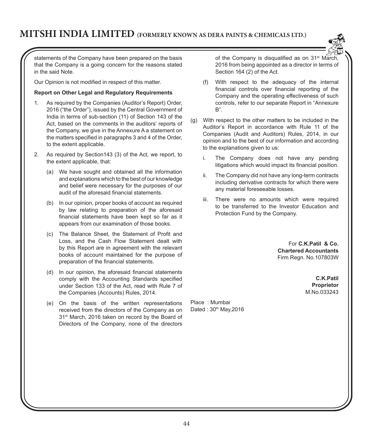

statements of the Company have been prepared on the basis that the Company is a going concern for the reasons stated in the said Note.

Our Opinion is not modified in respect of this matter.

### **Report on Other Legal and Regulatory Requirements**

- 1. As required by the Companies (Auditor's Report) Order, 2016 ("the Order"), issued by the Central Government of India in terms of sub-section (11) of Section 143 of the Act, based on the comments in the auditors' reports of the Company, we give in the Annexure A a statement on the matters specified in paragraphs 3 and 4 of the Order, to the extent applicable.
- 2. As required by Section143 (3) of the Act, we report, to the extent applicable, that:
	- (a) We have sought and obtained all the information and explanations which to the best of our knowledge and belief were necessary for the purposes of our audit of the aforesaid financial statements.
	- (b) In our opinion, proper books of account as required by law relating to preparation of the aforesaid financial statements have been kept so far as it appears from our examination of those books.
	- (c) The Balance Sheet, the Statement of Profit and Loss, and the Cash Flow Statement dealt with by this Report are in agreement with the relevant books of account maintained for the purpose of preparation of the financial statements.
	- (d) In our opinion, the aforesaid financial statements comply with the Accounting Standards specified under Section 133 of the Act, read with Rule 7 of the Companies (Accounts) Rules, 2014.
	- (e) On the basis of the written representations received from the directors of the Company as on 31<sup>st</sup> March, 2016 taken on record by the Board of Directors of the Company, none of the directors

of the Company is disqualified as on 31<sup>st</sup> March. 2016 from being appointed as a director in terms of Section 164 (2) of the Act.

- (f) With respect to the adequacy of the internal financial controls over financial reporting of the Company and the operating effectiveness of such controls, refer to our separate Report in "Annexure B".
- (g) With respect to the other matters to be included in the Auditor's Report in accordance with Rule 11 of the Companies (Audit and Auditors) Rules, 2014, in our opinion and to the best of our information and according to the explanations given to us:
	- i. The Company does not have any pending litigations which would impact its financial position.
	- ii. The Company did not have any long-term contracts including derivative contracts for which there were any material foreseeable losses.
	- iii. There were no amounts which were required to be transferred to the Investor Education and Protection Fund by the Company.

For **C.K.Patil & Co. Chartered Accountants** Firm Regn. No.107803W

> **C.K.Patil Proprietor** M.No.033243

Place : Mumbai Dated: 30<sup>th</sup> May, 2016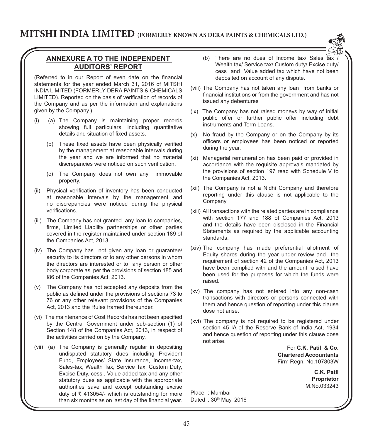

## **ANNEXURE A TO THE INDEPENDENT AUDITORS' REPORT**

(Referred to in our Report of even date on the financial statements for the year ended March 31, 2016 of MITSHI INDIA LIMITED (FORMERLY DERA PAINTS & CHEMICALS LIMITED). Reported on the basis of verification of records of the Company and as per the information and explanations given by the Company.)

- (i) (a) The Company is maintaining proper records showing full particulars, including quantitative details and situation of fixed assets.
	- (b) These fixed assets have been physically verified by the management at reasonable intervals during the year and we are informed that no material discrepancies were noticed on such verification.
	- (c) The Company does not own any immovable property.
- (ii) Physical verification of inventory has been conducted at reasonable intervals by the management and no discrepancies were noticed during the physical verifications.
- (iii) The Company has not granted any loan to companies, firms, Limited Liability partnerships or other parties covered in the register maintained under section 189 of the Companies Act, 2013 .
- (iv) The Company has not given any loan or guarantee/ security to its directors or to any other persons in whom the directors are interested or to any person or other body corporate as per the provisions of section 185 and I86 of the Companies Act, 2013.
- (v) The Company has not accepted any deposits from the public as defined under the provisions of sections 73 to 76 or any other relevant provisions of the Companies Act, 2013 and the Rules framed thereunder.
- (vi) The maintenance of Cost Records has not been specified by the Central Government under sub-section (1) of Section 148 of the Companies Act, 2013, in respect of the activities carried on by the Company.
- (vii) (a) The Company is generally regular in depositing undisputed statutory dues including Provident Fund, Employees' State Insurance, Income-tax, Sales-tax, Wealth Tax, Service Tax, Custom Duty, Excise Duty, cess , Value added tax and any other statutory dues as applicable with the appropriate authorities save and except outstanding excise duty of  $\bar{\tau}$  413054/- which is outstanding for more than six months as on last day of the financial year.
- (b) There are no dues of Income  $\text{tax}/\text{ Sales tax}$ Wealth tax/ Service tax/ Custom duty/ Excise duty/ cess and Value added tax which have not been deposited on account of any dispute.
- (viii) The Company has not taken any loan from banks or financial institutions or from the government and has not issued any debentures
- (ix) The Company has not raised moneys by way of initial public offer or further public offer including debt instruments and Term Loans.
- (x) No fraud by the Company or on the Company by its officers or employees has been noticed or reported during the year.
- (xi) Managerial remuneration has been paid or provided in accordance with the requisite approvals mandated by the provisions of section 197 read with Schedule V to the Companies Act, 2013.
- (xii) The Company is not a Nidhi Company and therefore reporting under this clause is not applicable to the Company.
- (xiii) All transactions with the related parties are in compliance with section 177 and 188 of Companies Act, 2013 and the details have been disclosed in the Financial Statements as required by the applicable accounting standards.
- (xiv) The company has made preferential allotment of Equity shares during the year under review and the requirement of section 42 of the Companies Act, 2013 have been complied with and the amount raised have been used for the purposes for which the funds were raised.
- (xv) The company has not entered into any non-cash transactions with directors or persons connected with them and hence question of reporting under this clause dose not arise.
- (xvi) The company is not required to be registered under section 45 IA of the Reserve Bank of India Act, 1934 and hence question of reporting under this clause dose not arise.

For **C.K. Patil & Co. Chartered Accountants** Firm Regn. No.107803W

> **C.K. Patil Proprietor** M.No.033243

Place : Mumbai Dated: 30th May, 2016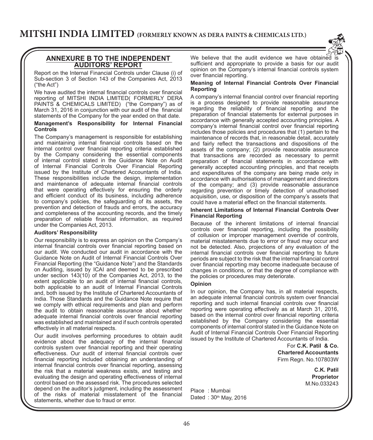

### **ANNEXURE B TO THE INDEPENDENT AUDITORS' REPORT**

Report on the Internal Financial Controls under Clause (i) of Sub-section 3 of Section 143 of the Companies Act, 2013 ("the Act")

We have audited the internal financial controls over financial reporting of MITSHI INDIA LIMITED( FORMERLY DERA PAINTS & CHEMICALS LIMITED) ("the Company") as of March 31, 2016 in conjunction with our audit of the financial statements of the Company for the year ended on that date.

#### **Management's Responsibility for Internal Financial Controls**

The Company's management is responsible for establishing and maintaining internal financial controls based on the internal control over financial reporting criteria established by the Company considering the essential components of internal control stated in the Guidance Note on Audit of Internal Financial Controls Over Financial Reporting issued by the Institute of Chartered Accountants of India. These responsibilities include the design, implementation and maintenance of adequate internal financial controls that were operating effectively for ensuring the orderly and efficient conduct of its business, including adherence to company's policies, the safeguarding of its assets, the prevention and detection of frauds and errors, the accuracy and completeness of the accounting records, and the timely preparation of reliable financial information, as required under the Companies Act, 2013.

#### **Auditors' Responsibility**

Our responsibility is to express an opinion on the Company's internal financial controls over financial reporting based on our audit. We conducted our audit in accordance with the Guidance Note on Audit of Internal Financial Controls Over Financial Reporting (the "Guidance Note") and the Standards on Auditing, issued by ICAI and deemed to be prescribed under section 143(10) of the Companies Act, 2013, to the extent applicable to an audit of internal financial controls, both applicable to an audit of Internal Financial Controls and, both issued by the Institute of Chartered Accountants of India. Those Standards and the Guidance Note require that we comply with ethical requirements and plan and perform the audit to obtain reasonable assurance about whether adequate internal financial controls over financial reporting was established and maintained and if such controls operated effectively in all material respects.

Our audit involves performing procedures to obtain audit evidence about the adequacy of the internal financial controls system over financial reporting and their operating effectiveness. Our audit of internal financial controls over financial reporting included obtaining an understanding of internal financial controls over financial reporting, assessing the risk that a material weakness exists, and testing and evaluating the design and operating effectiveness of internal control based on the assessed risk. The procedures selected depend on the auditor's judgment, including the assessment of the risks of material misstatement of the financial statements, whether due to fraud or error.

We believe that the audit evidence we have obtained is sufficient and appropriate to provide a basis for our audit opinion on the Company's internal financial controls system over financial reporting.

#### **Meaning of Internal Financial Controls Over Financial Reporting**

A company's internal financial control over financial reporting is a process designed to provide reasonable assurance regarding the reliability of financial reporting and the preparation of financial statements for external purposes in accordance with generally accepted accounting principles. A company's internal financial control over financial reporting includes those policies and procedures that (1) pertain to the maintenance of records that, in reasonable detail, accurately and fairly reflect the transactions and dispositions of the assets of the company; (2) provide reasonable assurance that transactions are recorded as necessary to permit preparation of financial statements in accordance with generally accepted accounting principles, and that receipts and expenditures of the company are being made only in accordance with authorisations of management and directors of the company; and (3) provide reasonable assurance regarding prevention or timely detection of unauthorised acquisition, use, or disposition of the company's assets that could have a material effect on the financial statements.

#### **Inherent Limitations of Internal Financial Controls Over Financial Reporting**

Because of the inherent limitations of internal financial controls over financial reporting, including the possibility of collusion or improper management override of controls, material misstatements due to error or fraud may occur and not be detected. Also, projections of any evaluation of the internal financial controls over financial reporting to future periods are subject to the risk that the internal financial control over financial reporting may become inadequate because of changes in conditions, or that the degree of compliance with the policies or procedures may deteriorate.

#### **Opinion**

In our opinion, the Company has, in all material respects, an adequate internal financial controls system over financial reporting and such internal financial controls over financial reporting were operating effectively as at March 31, 2016, based on the internal control over financial reporting criteria established by the Company considering the essential components of internal control stated in the Guidance Note on Audit of Internal Financial Controls Over Financial Reporting issued by the Institute of Chartered Accountants of India.

> For **C.K. Patil & Co. Chartered Accountants** Firm Regn. No.107803W

> > **C.K. Patil Proprietor** M.No.033243

Place : Mumbai Dated: 30<sup>th</sup> May, 2016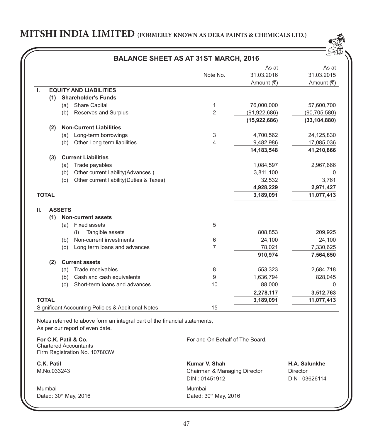

|                           |               | <b>BALANCE SHEET AS AT 31ST MARCH, 2016</b>                                                                                      |                                               |                                  |                         |  |
|---------------------------|---------------|----------------------------------------------------------------------------------------------------------------------------------|-----------------------------------------------|----------------------------------|-------------------------|--|
|                           |               |                                                                                                                                  |                                               | As at                            | As at                   |  |
|                           |               |                                                                                                                                  | Note No.                                      | 31.03.2016                       | 31.03.2015              |  |
|                           |               |                                                                                                                                  |                                               | Amount (₹)                       | Amount (₹)              |  |
| L.                        |               | <b>EQUITY AND LIABILITIES</b>                                                                                                    |                                               |                                  |                         |  |
| (1)                       |               | <b>Shareholder's Funds</b>                                                                                                       |                                               |                                  |                         |  |
|                           |               | (a) Share Capital                                                                                                                | 1                                             | 76,000,000                       | 57,600,700              |  |
|                           |               | (b) Reserves and Surplus                                                                                                         | $\overline{2}$                                | (91, 922, 686)                   | (90, 705, 580)          |  |
|                           |               |                                                                                                                                  |                                               | (15,922,686)                     | (33, 104, 880)          |  |
| (2)                       |               | <b>Non-Current Liabilities</b>                                                                                                   |                                               |                                  |                         |  |
|                           |               | (a) Long-term borrowings                                                                                                         | 3                                             | 4,700,562                        | 24,125,830              |  |
|                           |               | (b) Other Long term liabilities                                                                                                  | 4                                             | 9,482,986                        | 17,085,036              |  |
|                           |               |                                                                                                                                  |                                               | 14,183,548                       | 41,210,866              |  |
| (3)                       |               | <b>Current Liabilities</b>                                                                                                       |                                               |                                  |                         |  |
|                           |               | (a) Trade payables                                                                                                               |                                               | 1,084,597                        | 2,967,666               |  |
|                           |               | (b) Other current liability (Advances)                                                                                           |                                               | 3,811,100                        |                         |  |
|                           | (c)           | Other current liability (Duties & Taxes)                                                                                         |                                               | 32,532                           | 3,761                   |  |
| <b>TOTAL</b>              |               |                                                                                                                                  |                                               | 4,928,229<br>3,189,091           | 2,971,427<br>11,077,413 |  |
|                           |               |                                                                                                                                  |                                               |                                  |                         |  |
| Ш.                        | <b>ASSETS</b> |                                                                                                                                  |                                               |                                  |                         |  |
|                           |               | (1) Non-current assets                                                                                                           |                                               |                                  |                         |  |
|                           |               | (a) Fixed assets                                                                                                                 | 5                                             |                                  |                         |  |
|                           |               | Tangible assets<br>(i)                                                                                                           |                                               | 808,853                          | 209,925                 |  |
|                           | (b)           | Non-current investments                                                                                                          | 6                                             | 24,100                           | 24,100                  |  |
|                           |               | (c) Long term loans and advances                                                                                                 | $\overline{7}$                                | 78,021                           | 7,330,625               |  |
|                           |               |                                                                                                                                  |                                               | 910,974                          | 7,564,650               |  |
| (2)                       |               | <b>Current assets</b>                                                                                                            |                                               |                                  |                         |  |
|                           |               | (a) Trade receivables                                                                                                            | 8                                             | 553,323                          | 2,684,718               |  |
|                           |               | (b) Cash and cash equivalents                                                                                                    | 9                                             | 1,636,794                        | 828,045                 |  |
|                           |               | (c) Short-term loans and advances                                                                                                | 10                                            | 88,000                           |                         |  |
|                           |               |                                                                                                                                  |                                               |                                  | 3,512,763               |  |
|                           |               |                                                                                                                                  |                                               |                                  | 11,077,413              |  |
| <b>TOTAL</b>              |               | Significant Accounting Policies & Additional Notes<br>Notes referred to above form an integral part of the financial statements, | 15                                            | 2,278,117<br>3,189,091           |                         |  |
| For C.K. Patil & Co.      |               | As per our report of even date.                                                                                                  | For and On Behalf of The Board.               |                                  |                         |  |
|                           |               | <b>Chartered Accountants</b><br>Firm Registration No. 107803W                                                                    |                                               |                                  |                         |  |
| C.K. Patil<br>M.No.033243 |               |                                                                                                                                  | Kumar V. Shah<br>Chairman & Managing Director | H.A. Salunkhe<br><b>Director</b> |                         |  |
|                           |               |                                                                                                                                  | DIN: 01451912                                 |                                  | DIN: 03626114           |  |
| Mumbai                    |               | Dated: 30 <sup>th</sup> May, 2016                                                                                                | Mumbai<br>Dated: 30 <sup>th</sup> May, 2016   |                                  |                         |  |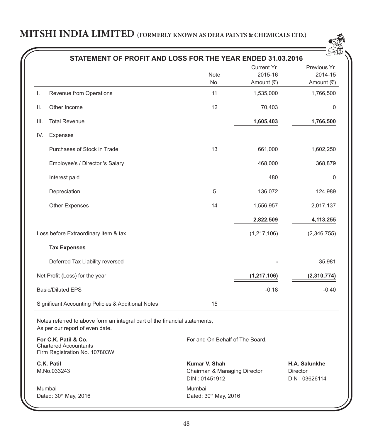

|      | STATEMENT OF PROFIT AND LOSS FOR THE YEAR ENDED 31.03.2016                                                    |                                                                |                                      |                                                   |
|------|---------------------------------------------------------------------------------------------------------------|----------------------------------------------------------------|--------------------------------------|---------------------------------------------------|
|      |                                                                                                               | Note<br>No.                                                    | Current Yr.<br>2015-16<br>Amount (₹) | Previous Yr.<br>2014-15<br>Amount $(₹)$           |
| I.   | Revenue from Operations                                                                                       | 11                                                             | 1,535,000                            | 1,766,500                                         |
| II.  | Other Income                                                                                                  | 12                                                             | 70,403                               | 0                                                 |
| III. | <b>Total Revenue</b>                                                                                          |                                                                | 1,605,403                            | 1,766,500                                         |
| IV.  | Expenses                                                                                                      |                                                                |                                      |                                                   |
|      | Purchases of Stock in Trade                                                                                   | 13                                                             | 661,000                              | 1,602,250                                         |
|      | Employee's / Director 's Salary                                                                               |                                                                | 468,000                              | 368,879                                           |
|      | Interest paid                                                                                                 |                                                                | 480                                  | $\Omega$                                          |
|      | Depreciation                                                                                                  | 5                                                              | 136,072                              | 124,989                                           |
|      | <b>Other Expenses</b>                                                                                         | 14                                                             | 1,556,957                            | 2,017,137                                         |
|      |                                                                                                               |                                                                | 2,822,509                            | 4,113,255                                         |
|      | Loss before Extraordinary item & tax                                                                          |                                                                | (1, 217, 106)                        | (2,346,755)                                       |
|      | <b>Tax Expenses</b>                                                                                           |                                                                |                                      |                                                   |
|      | Deferred Tax Liability reversed                                                                               |                                                                |                                      | 35,981                                            |
|      | Net Profit (Loss) for the year                                                                                |                                                                | (1, 217, 106)                        | (2,310,774)                                       |
|      | <b>Basic/Diluted EPS</b>                                                                                      |                                                                | $-0.18$                              | $-0.40$                                           |
|      | Significant Accounting Policies & Additional Notes                                                            | 15                                                             |                                      |                                                   |
|      | Notes referred to above form an integral part of the financial statements,<br>As per our report of even date. |                                                                |                                      |                                                   |
|      | For C.K. Patil & Co.<br><b>Chartered Accountants</b><br>Firm Registration No. 107803W                         | For and On Behalf of The Board.                                |                                      |                                                   |
|      | C.K. Patil<br>M.No.033243                                                                                     | Kumar V. Shah<br>Chairman & Managing Director<br>DIN: 01451912 |                                      | H.A. Salunkhe<br><b>Director</b><br>DIN: 03626114 |
|      | Mumbai<br>Dated: 30 <sup>th</sup> May, 2016                                                                   | Mumbai<br>Dated: 30th May, 2016                                |                                      |                                                   |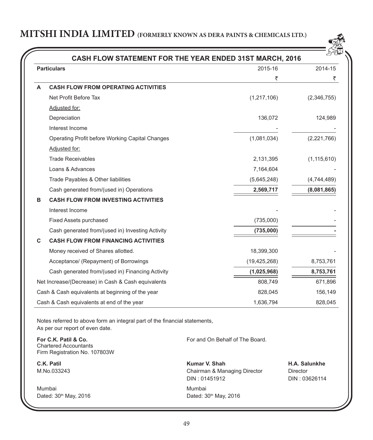

| CASH FLOW STATEMENT FOR THE YEAR ENDED 31ST MARCH, 2016 |                                                    |                |               |  |  |
|---------------------------------------------------------|----------------------------------------------------|----------------|---------------|--|--|
|                                                         | <b>Particulars</b>                                 | 2015-16        | 2014-15       |  |  |
|                                                         |                                                    | ₹              | ₹             |  |  |
| A                                                       | <b>CASH FLOW FROM OPERATING ACTIVITIES</b>         |                |               |  |  |
|                                                         | Net Profit Before Tax                              | (1, 217, 106)  | (2,346,755)   |  |  |
|                                                         | Adjusted for:                                      |                |               |  |  |
|                                                         | Depreciation                                       | 136,072        | 124,989       |  |  |
|                                                         | Interest Income                                    |                |               |  |  |
|                                                         | Operating Profit before Working Capital Changes    | (1,081,034)    | (2,221,766)   |  |  |
|                                                         | Adjusted for:                                      |                |               |  |  |
|                                                         | <b>Trade Receivables</b>                           | 2,131,395      | (1, 115, 610) |  |  |
|                                                         | Loans & Advances                                   | 7,164,604      |               |  |  |
|                                                         | Trade Payables & Other liabilities                 | (5,645,248)    | (4,744,489)   |  |  |
|                                                         | Cash generated from/(used in) Operations           | 2,569,717      | (8,081,865)   |  |  |
| в                                                       | <b>CASH FLOW FROM INVESTING ACTIVITIES</b>         |                |               |  |  |
|                                                         | Interest Income                                    |                |               |  |  |
|                                                         | Fixed Assets purchased                             | (735,000)      |               |  |  |
|                                                         | Cash generated from/(used in) Investing Activity   | (735,000)      |               |  |  |
| C                                                       | <b>CASH FLOW FROM FINANCING ACTIVITIES</b>         |                |               |  |  |
|                                                         | Money received of Shares allotted.                 | 18,399,300     |               |  |  |
|                                                         | Acceptance/ (Repayment) of Borrowings              | (19, 425, 268) | 8,753,761     |  |  |
|                                                         | Cash generated from/(used in) Financing Activity   | (1,025,968)    | 8,753,761     |  |  |
|                                                         | Net Increase/(Decrease) in Cash & Cash equivalents | 808,749        | 671,896       |  |  |
|                                                         | Cash & Cash equivalents at beginning of the year   | 828,045        | 156,149       |  |  |
|                                                         | Cash & Cash equivalents at end of the year         | 1,636,794      | 828,045       |  |  |

Notes referred to above form an integral part of the financial statements, As per our report of even date.

**For C.K. Patil & Co.** Chartered Accountants Firm Registration No. 107803W

Mumbai Mumbai Dated: 30<sup>th</sup> May, 2016 **Dated: 30<sup>th</sup> May, 2016** 

For and On Behalf of The Board.

**C.K. Patil Kumar V. Shah H.A. Salunkhe** M.No.033243 Chairman & Managing Director Director DIN : 01451912 DIN : 03626114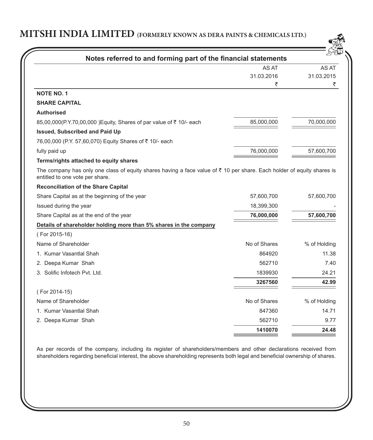| Notes referred to and forming part of the financial statements                                                                                                       |              |              |
|----------------------------------------------------------------------------------------------------------------------------------------------------------------------|--------------|--------------|
|                                                                                                                                                                      | AS AT        | AS AT        |
|                                                                                                                                                                      | 31.03.2016   | 31.03.2015   |
|                                                                                                                                                                      | ₹            | ₹            |
| <b>NOTE NO. 1</b>                                                                                                                                                    |              |              |
| <b>SHARE CAPITAL</b>                                                                                                                                                 |              |              |
| <b>Authorised</b>                                                                                                                                                    |              |              |
| 85,00,000(P.Y.70,00,000 ) Equity, Shares of par value of ₹ 10/- each                                                                                                 | 85,000,000   | 70,000,000   |
| <b>Issued, Subscribed and Paid Up</b>                                                                                                                                |              |              |
| 76,00,000 (P.Y. 57,60,070) Equity Shares of ₹ 10/- each                                                                                                              |              |              |
| fully paid up                                                                                                                                                        | 76,000,000   | 57,600,700   |
| Terms/rights attached to equity shares                                                                                                                               |              |              |
| The company has only one class of equity shares having a face value of $\bar{\tau}$ 10 per share. Each holder of equity shares is<br>entitled to one vote per share. |              |              |
| <b>Reconciliation of the Share Capital</b>                                                                                                                           |              |              |
| Share Capital as at the beginning of the year                                                                                                                        | 57,600,700   | 57,600,700   |
| Issued during the year                                                                                                                                               | 18,399,300   |              |
| Share Capital as at the end of the year                                                                                                                              | 76,000,000   | 57,600,700   |
| Details of shareholder holding more than 5% shares in the company                                                                                                    |              |              |
| (For 2015-16)                                                                                                                                                        |              |              |
| Name of Shareholder                                                                                                                                                  | No of Shares | % of Holding |
| 1. Kumar Vasantlal Shah                                                                                                                                              | 864920       | 11.38        |
| 2. Deepa Kumar Shah                                                                                                                                                  | 562710       | 7.40         |
| 3. Solific Infotech Pyt. Ltd.                                                                                                                                        | 1839930      | 24.21        |
|                                                                                                                                                                      | 3267560      | 42.99        |
| (For 2014-15)                                                                                                                                                        |              |              |
| Name of Shareholder                                                                                                                                                  | No of Shares |              |
|                                                                                                                                                                      |              | % of Holding |
| 1. Kumar Vasantlal Shah                                                                                                                                              | 847360       | 14.71        |
| 2. Deepa Kumar Shah                                                                                                                                                  | 562710       | 9.77         |

As per records of the company, including its register of shareholders/members and other declarations received from shareholders regarding beneficial interest, the above shareholding represents both legal and beneficial ownership of shares.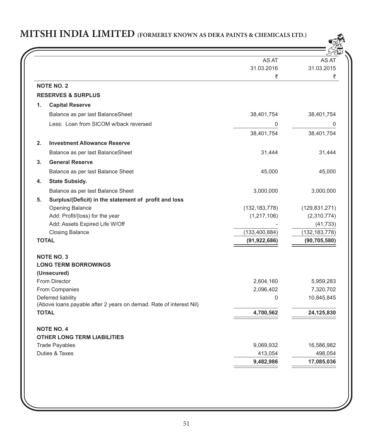

|                                                                    | AS AT           |                 |
|--------------------------------------------------------------------|-----------------|-----------------|
|                                                                    | 31.03.2016      | 31.03.2015      |
|                                                                    | ₹               | ₹               |
| <b>NOTE NO. 2</b>                                                  |                 |                 |
| <b>RESERVES &amp; SURPLUS</b>                                      |                 |                 |
| <b>Capital Reserve</b><br>1.                                       |                 |                 |
| Balance as per last BalanceSheet                                   | 38,401,754      | 38,401,754      |
| Less: Loan from SICOM w/back reversed                              | 0               | 0               |
|                                                                    | 38,401,754      | 38,401,754      |
| 2.<br><b>Investment Allowance Reserve</b>                          |                 |                 |
| Balance as per last BalanceSheet                                   | 31,444          | 31,444          |
| 3 <sub>1</sub><br><b>General Reserve</b>                           |                 |                 |
| Balance as per last Balance Sheet                                  | 45,000          | 45,000          |
| <b>State Subsidy.</b><br>4.                                        |                 |                 |
| Balance as per last Balance Sheet                                  | 3,000,000       | 3,000,000       |
| Surplus/(Deficit) in the statement of profit and loss<br>5.        |                 |                 |
| Opening Balance                                                    | (132, 183, 778) | (129, 831, 271) |
| Add: Profit/(loss) for the year                                    | (1, 217, 106)   | (2,310,774)     |
| Add: Assets Expired Life W/Off                                     |                 | (41, 733)       |
| <b>Closing Balance</b>                                             | (133, 400, 884) | (132, 183, 778) |
| <b>TOTAL</b>                                                       | (91, 922, 686)  | (90, 705, 580)  |
| <b>NOTE NO. 3</b>                                                  |                 |                 |
| <b>LONG TERM BORROWINGS</b>                                        |                 |                 |
| (Unsecured)                                                        |                 |                 |
| From Director                                                      | 2,604,160       | 5,959,283       |
| From Companies                                                     | 2,096,402       | 7,320,702       |
| Deferred liability                                                 | 0               | 10,845,845      |
| (Above loans payable after 2 years on demad. Rate of interest Nil) |                 |                 |
| <b>TOTAL</b>                                                       | 4,700,562       | 24,125,830      |
| <b>NOTE NO. 4</b>                                                  |                 |                 |
| <b>OTHER LONG TERM LIABILITIES</b>                                 |                 |                 |
| <b>Trade Payables</b>                                              | 9,069,932       | 16,586,982      |
| Duties & Taxes                                                     | 413,054         | 498,054         |
|                                                                    | 9,482,986       | 17,085,036      |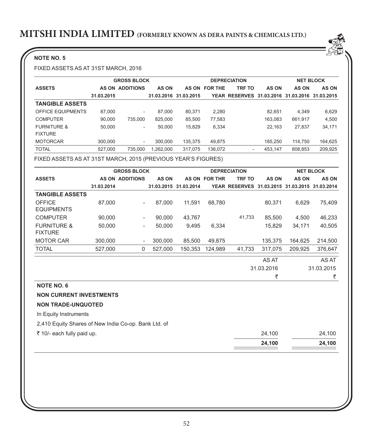## **NOTE NO. 5**

FIXED ASSETS AS AT 31ST MARCH, 2016

|                        |            | <b>GROSS BLOCK</b>       |            |            |                | <b>DEPRECIATION</b>                            |         | <b>NET BLOCK</b> |              |
|------------------------|------------|--------------------------|------------|------------|----------------|------------------------------------------------|---------|------------------|--------------|
| <b>ASSETS</b>          |            | <b>AS ON ADDITIONS</b>   | AS ON      | AS ON      | <b>FOR THE</b> | <b>TRF TO</b>                                  | AS ON   | <b>AS ON</b>     | <b>AS ON</b> |
|                        | 31.03.2015 |                          | 31.03.2016 | 31.03.2015 |                | YEAR RESERVES 31.03.2016 31.03.2016 31.03.2015 |         |                  |              |
| <b>TANGIBLE ASSETS</b> |            |                          |            |            |                |                                                |         |                  |              |
| OFFICE EQUIPMENTS      | 87,000     | $\overline{\phantom{a}}$ | 87,000     | 80.371     | 2.280          |                                                | 82.651  | 4.349            | 6,629        |
| <b>COMPUTER</b>        | 90.000     | 735,000                  | 825.000    | 85.500     | 77.583         |                                                | 163.083 | 661.917          | 4,500        |
| <b>FURNITURE &amp;</b> | 50.000     | ۰                        | 50.000     | 15.829     | 6.334          |                                                | 22.163  | 27.837           | 34,171       |
| <b>FIXTURE</b>         |            |                          |            |            |                |                                                |         |                  |              |
| <b>MOTORCAR</b>        | 300,000    | $\overline{\phantom{a}}$ | 300,000    | 135.375    | 49,875         |                                                | 185.250 | 114.750          | 164,625      |
| <b>TOTAL</b>           | 527.000    | 735.000                  | 1.262.000  | 317.075    | 136,072        | $\overline{\phantom{a}}$                       | 453.147 | 808.853          | 209,925      |

FIXED ASSETS AS AT 31ST MARCH, 2015 (PREVIOUS YEAR'S FIGURES)

|                                                      |            | <b>GROSS BLOCK</b>       |              |                       |                      | <b>DEPRECIATION</b>                            |              |              | <b>NET BLOCK</b> |
|------------------------------------------------------|------------|--------------------------|--------------|-----------------------|----------------------|------------------------------------------------|--------------|--------------|------------------|
| <b>ASSETS</b>                                        |            | <b>AS ON ADDITIONS</b>   | <b>AS ON</b> |                       | <b>AS ON FOR THR</b> | <b>TRF TO</b>                                  | <b>AS ON</b> | <b>AS ON</b> | AS ON            |
|                                                      | 31.03.2014 |                          |              | 31.03.2015 31.03.2014 |                      | YEAR RESERVES 31.03.2015 31.03.2015 31.03.2014 |              |              |                  |
| <b>TANGIBLE ASSETS</b>                               |            |                          |              |                       |                      |                                                |              |              |                  |
| <b>OFFICE</b>                                        | 87,000     |                          | 87,000       | 11,591                | 68,780               |                                                | 80,371       | 6,629        | 75,409           |
| <b>EQUIPMENTS</b>                                    |            |                          |              |                       |                      |                                                |              |              |                  |
| <b>COMPUTER</b>                                      | 90,000     | $\overline{\phantom{a}}$ | 90,000       | 43,767                |                      | 41,733                                         | 85,500       | 4.500        | 46,233           |
| <b>FURNITURE &amp;</b><br><b>FIXTURE</b>             | 50.000     | $\overline{\phantom{a}}$ | 50,000       | 9,495                 | 6,334                |                                                | 15.829       | 34,171       | 40,505           |
| <b>MOTOR CAR</b>                                     | 300,000    |                          | 300,000      | 85,500                | 49,875               |                                                | 135,375      | 164,625      | 214,500          |
| <b>TOTAL</b>                                         | 527,000    | 0                        | 527,000      | 150,353               | 124,989              | 41,733                                         | 317,075      | 209,925      | 376,647          |
|                                                      |            |                          |              |                       |                      |                                                | AS AT        |              | AS AT            |
|                                                      |            |                          |              |                       |                      |                                                | 31.03.2016   |              | 31.03.2015       |
|                                                      |            |                          |              |                       |                      |                                                | ₹            |              | ₹                |
| <b>NOTE NO. 6</b>                                    |            |                          |              |                       |                      |                                                |              |              |                  |
| <b>NON CURRENT INVESTMENTS</b>                       |            |                          |              |                       |                      |                                                |              |              |                  |
| <b>NON TRADE-UNQUOTED</b>                            |            |                          |              |                       |                      |                                                |              |              |                  |
| In Equity Instruments                                |            |                          |              |                       |                      |                                                |              |              |                  |
| 2,410 Equity Shares of New India Co-op. Bank Ltd. of |            |                          |              |                       |                      |                                                |              |              |                  |
| ₹ 10/- each fully paid up.                           |            |                          |              |                       |                      |                                                | 24,100       |              | 24,100           |
|                                                      |            |                          |              |                       |                      |                                                | 24,100       |              | 24,100           |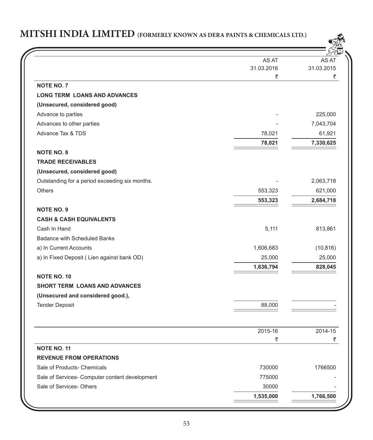

|                                                | AS AT      | AS.        |
|------------------------------------------------|------------|------------|
|                                                | 31.03.2016 | 31.03.2015 |
|                                                | ₹          | ₹          |
| <b>NOTE NO. 7</b>                              |            |            |
| <b>LONG TERM LOANS AND ADVANCES</b>            |            |            |
| (Unsecured, considered good)                   |            |            |
| Advance to parties                             |            | 225,000    |
| Advances to other parties                      |            | 7,043,704  |
| <b>Advance Tax &amp; TDS</b>                   | 78,021     | 61,921     |
|                                                | 78,021     | 7,330,625  |
| <b>NOTE NO. 8</b>                              |            |            |
| <b>TRADE RECEIVABLES</b>                       |            |            |
| (Unsecured, considered good)                   |            |            |
| Outstanding for a period exceeding six months. |            | 2,063,718  |
| <b>Others</b>                                  | 553,323    | 621,000    |
|                                                | 553,323    | 2,684,718  |
| <b>NOTE NO. 9</b>                              |            |            |
| <b>CASH &amp; CASH EQUIVALENTS</b>             |            |            |
| Cash In Hand                                   | 5,111      | 813,861    |
| Badance with Scheduled Banks                   |            |            |
| a) In Current Accounts                         | 1,606,683  | (10, 816)  |
| a) In Fixed Deposit (Lien against bank OD)     | 25,000     | 25,000     |
|                                                | 1,636,794  | 828,045    |
| <b>NOTE NO. 10</b>                             |            |            |
| <b>SHORT TERM LOANS AND ADVANCES</b>           |            |            |
| (Unsecured and considered good.),              |            |            |
| <b>Tender Deposit</b>                          | 88,000     |            |
|                                                |            |            |
|                                                | 2015-16    | 2014-15    |
|                                                | ₹          | ₹          |
| <b>NOTE NO. 11</b>                             |            |            |
| <b>REVENUE FROM OPERATIONS</b>                 |            |            |
| Sale of Products- Chemicals                    | 730000     | 1766500    |
| Sale of Services- Computer content development | 775000     |            |
| Sale of Services- Others                       | 30000      |            |
|                                                | 1,535,000  | 1,766,500  |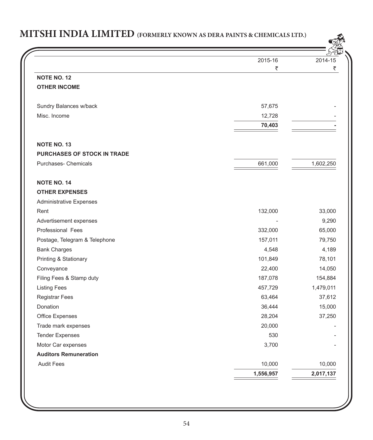$\mathbb{R}^2$ 

|                                | 2015-16   | 2014-15   |
|--------------------------------|-----------|-----------|
|                                | ₹         | ₹         |
| <b>NOTE NO. 12</b>             |           |           |
| <b>OTHER INCOME</b>            |           |           |
| Sundry Balances w/back         | 57,675    |           |
| Misc. Income                   | 12,728    |           |
|                                | 70,403    |           |
| <b>NOTE NO. 13</b>             |           |           |
| PURCHASES OF STOCK IN TRADE    |           |           |
| Purchases- Chemicals           | 661,000   | 1,602,250 |
| <b>NOTE NO. 14</b>             |           |           |
| <b>OTHER EXPENSES</b>          |           |           |
| <b>Administrative Expenses</b> |           |           |
| Rent                           | 132,000   | 33,000    |
| Advertisement expenses         |           | 9,290     |
| Professional Fees              | 332,000   | 65,000    |
| Postage, Telegram & Telephone  | 157,011   | 79,750    |
| <b>Bank Charges</b>            | 4,548     | 4,189     |
| Printing & Stationary          | 101,849   | 78,101    |
| Conveyance                     | 22,400    | 14,050    |
| Filing Fees & Stamp duty       | 187,078   | 154,884   |
| <b>Listing Fees</b>            | 457,729   | 1,479,011 |
| Registrar Fees                 | 63,464    | 37,612    |
| <b>Donation</b>                | 36,444    | 15,000    |
| Office Expenses                | 28,204    | 37,250    |
| Trade mark expenses            | 20,000    |           |
| <b>Tender Expenses</b>         | 530       |           |
| Motor Car expenses             | 3,700     |           |
| <b>Auditors Remuneration</b>   |           |           |
| <b>Audit Fees</b>              | 10,000    | 10,000    |
|                                | 1,556,957 | 2,017,137 |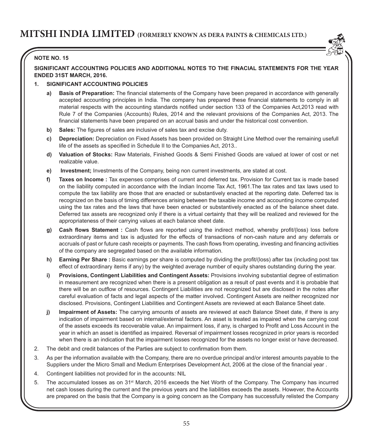

## **NOTE NO. 15**

**SIGNIFICANT ACCOUNTING POLICIES AND ADDITIONAL NOTES TO THE FINACIAL STATEMENTS FOR THE YEAR ENDED 31ST MARCH, 2016.**

### **1. SIGNIFICANT ACCOUNTING POLICIES**

- **a) Basis of Preparation:** The financial statements of the Company have been prepared in accordance with generally accepted accounting principles in India. The company has prepared these financial statements to comply in all material respects with the accounting standards notified under section 133 of the Companies Act,2013 read with Rule 7 of the Companies (Accounts) Rules, 2014 and the relevant provisions of the Companies Act, 2013. The financial statements have been prepared on an accrual basis and under the historical cost convention.
- **b) Sales:** The figures of sales are inclusive of sales tax and excise duty.
- **c) Depreciation:** Depreciation on Fixed Assets has been provided on Straight Line Method over the remaining usefull life of the assets as specified in Schedule II to the Companies Act, 2013..
- **d) Valuation of Stocks:** Raw Materials, Finished Goods & Semi Finished Goods are valued at lower of cost or net realizable value.
- **e) Investment;** Investments of the Company, being non current investments, are stated at cost.
- **f) Taxes on Income :** Tax expenses comprises of current and deferred tax. Provision for Current tax is made based on the liability computed in accordance with the Indian Income Tax Act, 1961.The tax rates and tax laws used to compute the tax liability are those that are enacted or substantively enacted at the reporting date. Deferred tax is recognized on the basis of timing differences arising between the taxable income and accounting income computed using the tax rates and the laws that have been enacted or substantively enacted as of the balance sheet date. Deferred tax assets are recognized only if there is a virtual certainty that they will be realized and reviewed for the appropriateness of their carrying values at each balance sheet date.
- **g) Cash flows Statement :** Cash flows are reported using the indirect method, whereby profit/(loss) loss before extraordinary items and tax is adjusted for the effects of transactions of non-cash nature and any deferrals or accruals of past or future cash receipts or payments. The cash flows from operating, investing and financing activities of the company are segregated based on the available information.
- **h) Earning Per Share :** Basic earnings per share is computed by dividing the profit/(loss) after tax (including post tax effect of extraordinary items if any) by the weighted average number of equity shares outstanding during the year.
- **i) Provisions, Contingent Liabilities and Contingent Assets:** Provisions involving substantial degree of estimation in measurement are recognized when there is a present obligation as a result of past events and it is probable that there will be an outflow of resources. Contingent Liabilities are not recognized but are disclosed in the notes after careful evaluation of facts and legal aspects of the matter involved. Contingent Assets are neither recognized nor disclosed. Provisions, Contingent Liabilities and Contingent Assets are reviewed at each Balance Sheet date.
- **j) Impairment of Assets:** The carrying amounts of assets are reviewed at each Balance Sheet date, if there is any indication of impairment based on internal/external factors. An asset is treated as impaired when the carrying cost of the assets exceeds its recoverable value. An impairment loss, if any, is charged to Profit and Loss Account in the year in which an asset is identified as impaired. Reversal of impairment losses recognized in prior years is recorded when there is an indication that the impairment losses recognized for the assets no longer exist or have decreased.
- 2. The debit and credit balances of the Parties are subject to confirmation from them.
- 3. As per the information available with the Company, there are no overdue principal and/or interest amounts payable to the Suppliers under the Micro Small and Medium Enterprises Development Act, 2006 at the close of the financial year .
- 4. Contingent liabilities not provided for in the accounts: NIL
- 5. The accumulated losses as on 31<sup>st</sup> March, 2016 exceeds the Net Worth of the Company. The Company has incurred net cash losses during the current and the previous years and the liabilities exceeds the assets. However, the Accounts are prepared on the basis that the Company is a going concern as the Company has successfully relisted the Company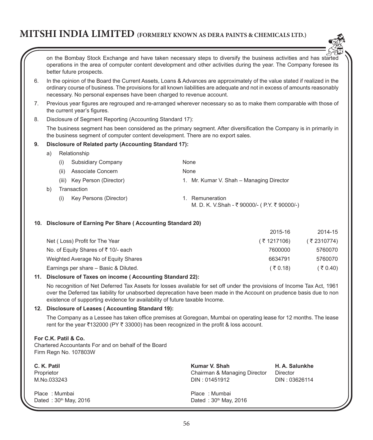

on the Bombay Stock Exchange and have taken necessary steps to diversify the business activities and has started operations in the area of computer content development and other activities during the year. The Company foresee its better future prospects.

- 6. In the opinion of the Board the Current Assets, Loans & Advances are approximately of the value stated if realized in the ordinary course of business. The provisions for all known liabilities are adequate and not in excess of amounts reasonably necessary. No personal expenses have been charged to revenue account.
- 7. Previous year figures are regrouped and re-arranged wherever necessary so as to make them comparable with those of the current year's figures.
- 8. Disclosure of Segment Reporting (Accounting Standard 17):

The business segment has been considered as the primary segment. After diversification the Company is in primarily in the business segment of computer content development. There are no export sales.

#### **9. Disclosure of Related party (Accounting Standard 17):**

a) Relationship

|    | Subsidiary Company<br>(i)     | None                                                       |
|----|-------------------------------|------------------------------------------------------------|
|    | Associate Concern<br>(ii)     | None                                                       |
|    | (iii) Key Person (Director)   | 1. Mr. Kumar V. Shah - Managing Director                   |
| b) | Transaction                   |                                                            |
|    | Key Persons (Director)<br>(i) | Remuneration<br>M. D. K. V.Shah - ₹90000/- (P.Y. ₹90000/-) |

#### **10. Disclosure of Earning Per Share ( Accounting Standard 20)**

| 2015-16      | 2014-15      |
|--------------|--------------|
| ( ₹ 1217106) | ( ₹ 2310774) |
| 7600000      | 5760070      |
| 6634791      | 5760070      |
| (₹0.18)      | ( ₹ 0.40)    |
|              |              |

#### **11. Disclosure of Taxes on income ( Accounting Standard 22):**

No recognition of Net Deferred Tax Assets for losses available for set off under the provisions of Income Tax Act, 1961 over the Deferred tax liability for unabsorbed deprecation have been made in the Account on prudence basis due to non existence of supporting evidence for availability of future taxable Income.

#### **12. Disclosure of Leases ( Accounting Standard 19):**

The Company as a Lessee has taken office premises at Goregoan, Mumbai on operating lease for 12 months. The lease rent for the year ₹132000 (PY ₹ 33000) has been recognized in the profit & loss account.

#### **For C.K. Patil & Co.**

Chartered Accountants For and on behalf of the Board Firm Regn No. 107803W

| C. K. Patil                              | Kumar V. Shah                            | H. A. Salunkhe |
|------------------------------------------|------------------------------------------|----------------|
| Proprietor                               | Chairman & Managing Director             | Director       |
| M.No.033243                              | DIN: 01451912                            | DIN: 03626114  |
| Place: Mumbai<br>Dated: $30th$ May, 2016 | Place: Mumbai<br>Dated: $30th$ May, 2016 |                |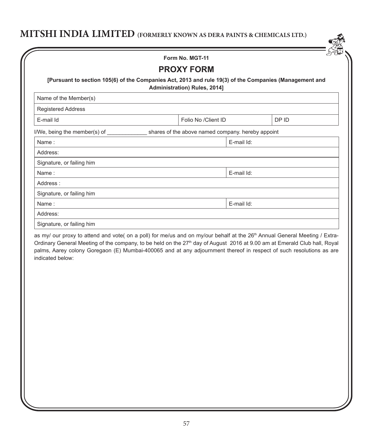|                                                                                                        | <b>PROXY FORM</b>                                 |            |       |
|--------------------------------------------------------------------------------------------------------|---------------------------------------------------|------------|-------|
| [Pursuant to section 105(6) of the Companies Act, 2013 and rule 19(3) of the Companies (Management and | Administration) Rules, 2014]                      |            |       |
| Name of the Member(s)                                                                                  |                                                   |            |       |
| <b>Registered Address</b>                                                                              |                                                   |            |       |
| E-mail Id                                                                                              | Folio No /Client ID                               |            | DP ID |
|                                                                                                        | shares of the above named company. hereby appoint |            |       |
| Name:                                                                                                  |                                                   | E-mail Id: |       |
| Address:                                                                                               |                                                   |            |       |
| Signature, or failing him                                                                              |                                                   |            |       |
| Name:                                                                                                  |                                                   | E-mail Id: |       |
| Address:                                                                                               |                                                   |            |       |
| Signature, or failing him                                                                              |                                                   |            |       |
| Name:                                                                                                  |                                                   | E-mail Id: |       |
| Address:                                                                                               |                                                   |            |       |
| Signature, or failing him                                                                              |                                                   |            |       |

Ordinary General Meeting of the company, to be held on the 27<sup>th</sup> day of August 2016 at 9.00 am at Emerald Club hall, Royal palms, Aarey colony Goregaon (E) Mumbai-400065 and at any adjournment thereof in respect of such resolutions as are indicated below: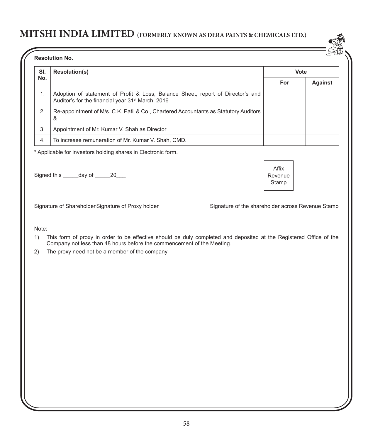

| SI. | <b>Resolution(s)</b>                                                                                                                             | Vote       |         |
|-----|--------------------------------------------------------------------------------------------------------------------------------------------------|------------|---------|
| No. |                                                                                                                                                  | <b>For</b> | Against |
|     | Adoption of statement of Profit & Loss, Balance Sheet, report of Director's and<br>Auditor's for the financial year 31 <sup>st</sup> March, 2016 |            |         |
| 2.  | Re-appointment of M/s. C.K. Patil & Co., Chartered Accountants as Statutory Auditors<br>&                                                        |            |         |
| 3.  | Appointment of Mr. Kumar V. Shah as Director                                                                                                     |            |         |
| 4.  | To increase remuneration of Mr. Kumar V. Shah, CMD.                                                                                              |            |         |

\* Applicable for investors holding shares in Electronic form.

Signed this day of 20

Signature of Shareholder Signature of Proxy holder Signature of the shareholder across Revenue Stamp

Affix Revenue Stamp

Note:

1) This form of proxy in order to be effective should be duly completed and deposited at the Registered Office of the Company not less than 48 hours before the commencement of the Meeting.

2) The proxy need not be a member of the company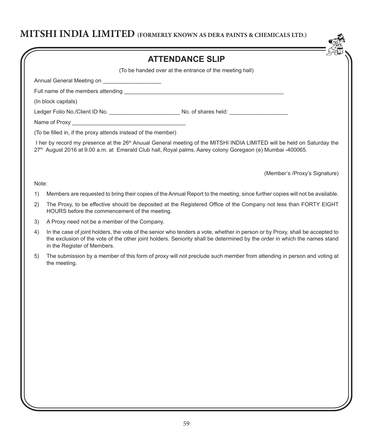| (To be handed over at the entrance of the meeting hall)<br>Ledger Folio No./Client ID No. ________________________No. of shares held: ________________________<br>I her by record my presence at the 26 <sup>th</sup> Anuual General meeting of the MITSHI INDIA LIMITED will be held on Saturday the<br>27th August 2016 at 9.00 a.m. at Emerald Club hall, Royal palms, Aarey colony Goregaon (e) Mumbai -400065.<br>(Member's /Proxy's Signature)<br>Members are requested to bring their copies of the Annual Report to the meeting, since further copies will not be available.<br>The Proxy, to be effective should be deposited at the Registered Office of the Company not less than FORTY EIGHT |
|----------------------------------------------------------------------------------------------------------------------------------------------------------------------------------------------------------------------------------------------------------------------------------------------------------------------------------------------------------------------------------------------------------------------------------------------------------------------------------------------------------------------------------------------------------------------------------------------------------------------------------------------------------------------------------------------------------|
|                                                                                                                                                                                                                                                                                                                                                                                                                                                                                                                                                                                                                                                                                                          |
|                                                                                                                                                                                                                                                                                                                                                                                                                                                                                                                                                                                                                                                                                                          |
|                                                                                                                                                                                                                                                                                                                                                                                                                                                                                                                                                                                                                                                                                                          |
|                                                                                                                                                                                                                                                                                                                                                                                                                                                                                                                                                                                                                                                                                                          |
|                                                                                                                                                                                                                                                                                                                                                                                                                                                                                                                                                                                                                                                                                                          |
|                                                                                                                                                                                                                                                                                                                                                                                                                                                                                                                                                                                                                                                                                                          |
|                                                                                                                                                                                                                                                                                                                                                                                                                                                                                                                                                                                                                                                                                                          |
|                                                                                                                                                                                                                                                                                                                                                                                                                                                                                                                                                                                                                                                                                                          |
|                                                                                                                                                                                                                                                                                                                                                                                                                                                                                                                                                                                                                                                                                                          |
|                                                                                                                                                                                                                                                                                                                                                                                                                                                                                                                                                                                                                                                                                                          |
|                                                                                                                                                                                                                                                                                                                                                                                                                                                                                                                                                                                                                                                                                                          |
|                                                                                                                                                                                                                                                                                                                                                                                                                                                                                                                                                                                                                                                                                                          |
| In the case of joint holders, the vote of the senior who tenders a vote, whether in person or by Proxy, shall be accepted to<br>the exclusion of the vote of the other joint holders. Seniority shall be determined by the order in which the names stand                                                                                                                                                                                                                                                                                                                                                                                                                                                |
| The submission by a member of this form of proxy will not preclude such member from attending in person and voting at                                                                                                                                                                                                                                                                                                                                                                                                                                                                                                                                                                                    |
|                                                                                                                                                                                                                                                                                                                                                                                                                                                                                                                                                                                                                                                                                                          |
|                                                                                                                                                                                                                                                                                                                                                                                                                                                                                                                                                                                                                                                                                                          |
|                                                                                                                                                                                                                                                                                                                                                                                                                                                                                                                                                                                                                                                                                                          |
|                                                                                                                                                                                                                                                                                                                                                                                                                                                                                                                                                                                                                                                                                                          |
|                                                                                                                                                                                                                                                                                                                                                                                                                                                                                                                                                                                                                                                                                                          |